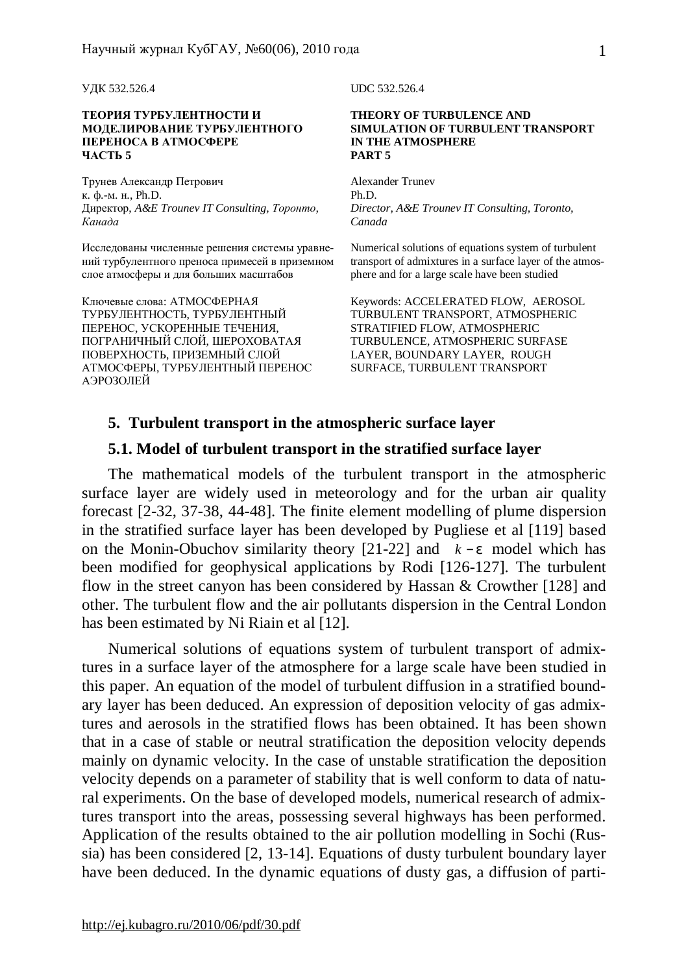УДК 532.526.4 UDC 532.526.4

#### **ТЕОРИЯ ТУРБУЛЕНТНОСТИ И МОДЕЛИРОВАНИЕ ТУРБУЛЕНТНОГО ПЕРЕНОСА В АТМОСФЕРЕ ЧАСТЬ 5**

Трунев Александр Петрович к. ф.-м. н., Ph.D. Директор, *A&E Trounev IT Consulting, Торонто, Канада*

Исследованы численные решения системы уравнений турбулентного преноса примесей в приземном слое атмосферы и для больших масштабов

Ключевые слова: АТМОСФЕРНАЯ ТУРБУЛЕНТНОСТЬ, ТУРБУЛЕНТНЫЙ ПЕРЕНОС, УСКОРЕННЫЕ ТЕЧЕНИЯ, ПОГРАНИЧНЫЙ СЛОЙ, ШЕРОХОВАТАЯ ПОВЕРХНОСТЬ, ПРИЗЕМНЫЙ СЛОЙ АТМОСФЕРЫ, ТУРБУЛЕНТНЫЙ ПЕРЕНОС АЭРОЗОЛЕЙ

#### **THEORY OF TURBULENCE AND SIMULATION OF TURBULENT TRANSPORT IN THE ATMOSPHERE PART 5**

Alexander Trunev Ph.D. *Director, A&E Trounev IT Consulting, Toronto, Canada* 

Numerical solutions of equations system of turbulent transport of admixtures in a surface layer of the atmosphere and for a large scale have been studied

Keywords: ACCELERATED FLOW, AEROSOL TURBULENT TRANSPORT, ATMOSPHERIC STRATIFIED FLOW, ATMOSPHERIC TURBULENCE, ATMOSPHERIC SURFASE LAYER, BOUNDARY LAYER, ROUGH SURFACE, TURBULENT TRANSPORT

### **5. Turbulent transport in the atmospheric surface layer**

# **5.1. Model of turbulent transport in the stratified surface layer**

The mathematical models of the turbulent transport in the atmospheric surface layer are widely used in meteorology and for the urban air quality forecast [2-32, 37-38, 44-48]. The finite element modelling of plume dispersion in the stratified surface layer has been developed by Pugliese et al [119] based on the Monin-Obuchov similarity theory [21-22] and *k* − *e* model which has been modified for geophysical applications by Rodi [126-127]. The turbulent flow in the street canyon has been considered by Hassan & Crowther [128] and other. The turbulent flow and the air pollutants dispersion in the Central London has been estimated by Ni Riain et al [12].

Numerical solutions of equations system of turbulent transport of admixtures in a surface layer of the atmosphere for a large scale have been studied in this paper. An equation of the model of turbulent diffusion in a stratified boundary layer has been deduced. An expression of deposition velocity of gas admixtures and aerosols in the stratified flows has been obtained. It has been shown that in a case of stable or neutral stratification the deposition velocity depends mainly on dynamic velocity. In the case of unstable stratification the deposition velocity depends on a parameter of stability that is well conform to data of natural experiments. On the base of developed models, numerical research of admixtures transport into the areas, possessing several highways has been performed. Application of the results obtained to the air pollution modelling in Sochi (Russia) has been considered [2, 13-14]. Equations of dusty turbulent boundary layer have been deduced. In the dynamic equations of dusty gas, a diffusion of parti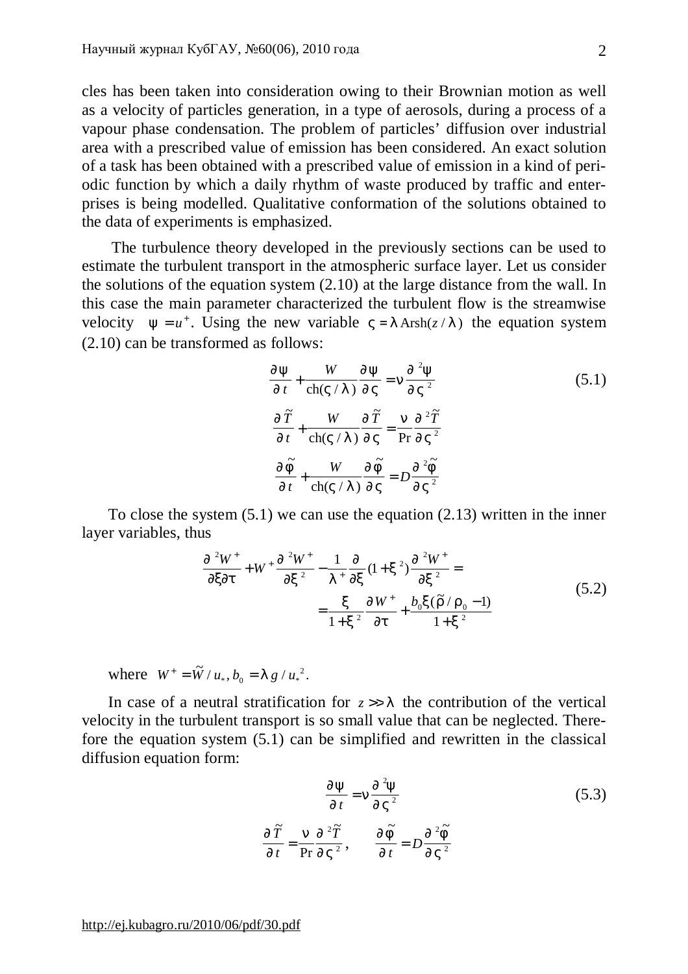cles has been taken into consideration owing to their Brownian motion as well as a velocity of particles generation, in a type of aerosols, during a process of a vapour phase condensation. The problem of particles' diffusion over industrial area with a prescribed value of emission has been considered. An exact solution of a task has been obtained with a prescribed value of emission in a kind of periodic function by which a daily rhythm of waste produced by traffic and enterprises is being modelled. Qualitative conformation of the solutions obtained to the data of experiments is emphasized.

The turbulence theory developed in the previously sections can be used to estimate the turbulent transport in the atmospheric surface layer. Let us consider the solutions of the equation system (2.10) at the large distance from the wall. In this case the main parameter characterized the turbulent flow is the streamwise velocity  $y = u^+$ . Using the new variable  $V = I \operatorname{Arsh}(z/I)$  the equation system (2.10) can be transformed as follows:

$$
\frac{\eta y}{\eta t} + \frac{W}{\text{ch}(V/I)} \frac{\eta y}{\eta V} = n \frac{\eta^2 y}{\eta V^2}
$$
\n
$$
\frac{\eta \tilde{T}}{\eta t} + \frac{W}{\text{ch}(V/I)} \frac{\eta \tilde{T}}{\eta V} = \frac{n}{\text{Pr}} \frac{\eta^2 \tilde{T}}{\eta V^2}
$$
\n
$$
\frac{\eta \tilde{F}}{\eta t} + \frac{W}{\text{ch}(V/I)} \frac{\eta \tilde{F}}{\eta V} = D \frac{\eta^2 \tilde{F}}{\eta V^2}
$$
\n(5.1)

To close the system (5.1) we can use the equation (2.13) written in the inner layer variables, thus

$$
\frac{\int \int 2W^{+}}{\int x \int t} + W^{+} \frac{\int \int 2W^{+}}{\int x^{2}} - \frac{1}{I^{+}} \frac{\int \int 2W}{\int x} (1 + x^{2}) \frac{\int \int 2W^{+}}{\int x^{2}} dx}{\int x^{2}} dx = \frac{x}{1 + x^{2}} \frac{\int \int 2W^{+}}{\int t} + \frac{b_{0}x(\tilde{r}/r_{0} - 1)}{1 + x^{2}} \tag{5.2}
$$

where  $W^+ = \tilde{W} / u_*, b_0 = I g / u_*^2$ .  $\int g/u_*^2$ 

In case of a neutral stratification for  $z \gg l$  the contribution of the vertical velocity in the turbulent transport is so small value that can be neglected. Therefore the equation system (5.1) can be simplified and rewritten in the classical diffusion equation form:

$$
\frac{\eta y}{\eta t} = n \frac{\eta^2 y}{\eta V^2}
$$
\n
$$
\frac{\eta \tilde{T}}{\eta t} = \frac{n}{\Pr} \frac{\eta^2 \tilde{T}}{\eta V^2}, \qquad \frac{\eta \tilde{F}}{\eta t} = D \frac{\eta^2 \tilde{F}}{\eta V^2}
$$
\n(5.3)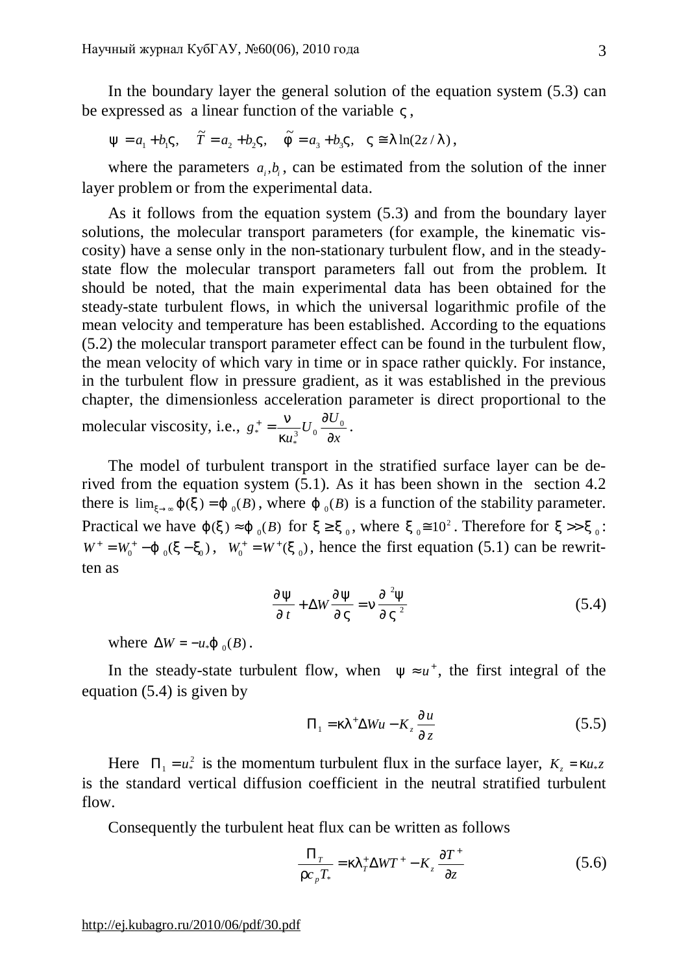In the boundary layer the general solution of the equation system (5.3) can be expressed as a linear function of the variable *V* ,

$$
y = a_1 + b_1 V
$$
,  $\tilde{T} = a_2 + b_2 V$ ,  $\tilde{f} = a_3 + b_3 V$ ,  $V \approx 1 \ln(2z / I)$ ,

where the parameters  $a_i, b_i$ , can be estimated from the solution of the inner layer problem or from the experimental data.

As it follows from the equation system (5.3) and from the boundary layer solutions, the molecular transport parameters (for example, the kinematic viscosity) have a sense only in the non-stationary turbulent flow, and in the steadystate flow the molecular transport parameters fall out from the problem. It should be noted, that the main experimental data has been obtained for the steady-state turbulent flows, in which the universal logarithmic profile of the mean velocity and temperature has been established. According to the equations (5.2) the molecular transport parameter effect can be found in the turbulent flow, the mean velocity of which vary in time or in space rather quickly. For instance, in the turbulent flow in pressure gradient, as it was established in the previous chapter, the dimensionless acceleration parameter is direct proportional to the molecular viscosity, i.e., *x*  $U_0 \frac{\partial U}{\partial x}$ *u g* ∂  $\frac{1}{a^*} = \frac{n}{1-a} U_0 \frac{\partial U_0}{\partial x}$ \*  $\frac{1}{k u_*^3}$   $\frac{1}{2}$ \*  $\frac{n}{\sqrt{2}}U_0\frac{\partial U_0}{\partial \sqrt{2}}$ .

The model of turbulent transport in the stratified surface layer can be derived from the equation system (5.1). As it has been shown in the section 4.2 there is  $\lim_{x\to\infty} j(x) = j_0(B)$ , where  $j_0(B)$  is a function of the stability parameter. Practical we have *j*  $(x) \approx j_0(B)$  for  $x \ge x_0$ , where  $x_0 \approx 10^2$ . Therefore for  $x >> x_0$ :  $W^+ = W_0^+ - j_{0}(x - x_0)$ ,  $W_0^+ = W^+(x_0)$ , hence the first equation (5.1) can be rewritten as

$$
\frac{\mathcal{J}y}{\mathcal{J}t} + \Delta W \frac{\mathcal{J}y}{\mathcal{J}V} = n \frac{\mathcal{J}^2 y}{\mathcal{J}V^2}
$$
(5.4)

where  $\Delta W = -u_* \mathbf{j}_{0}(B)$ .

In the steady-state turbulent flow, when  $y \approx u^+$ , the first integral of the equation (5.4) is given by

$$
\Pi_1 = kI^+ \Delta W u - K_z \frac{\P u}{\P z} \tag{5.5}
$$

Here  $\Pi_1 = u^2$  is the momentum turbulent flux in the surface layer,  $K_z = k u_z z$ is the standard vertical diffusion coefficient in the neutral stratified turbulent flow.

Consequently the turbulent heat flux can be written as follows

$$
\frac{\Pi_{T}}{r c_{p} T_{*}} = k l_{T}^{+} \Delta W T^{+} - K_{z} \frac{\partial T^{+}}{\partial z}
$$
 (5.6)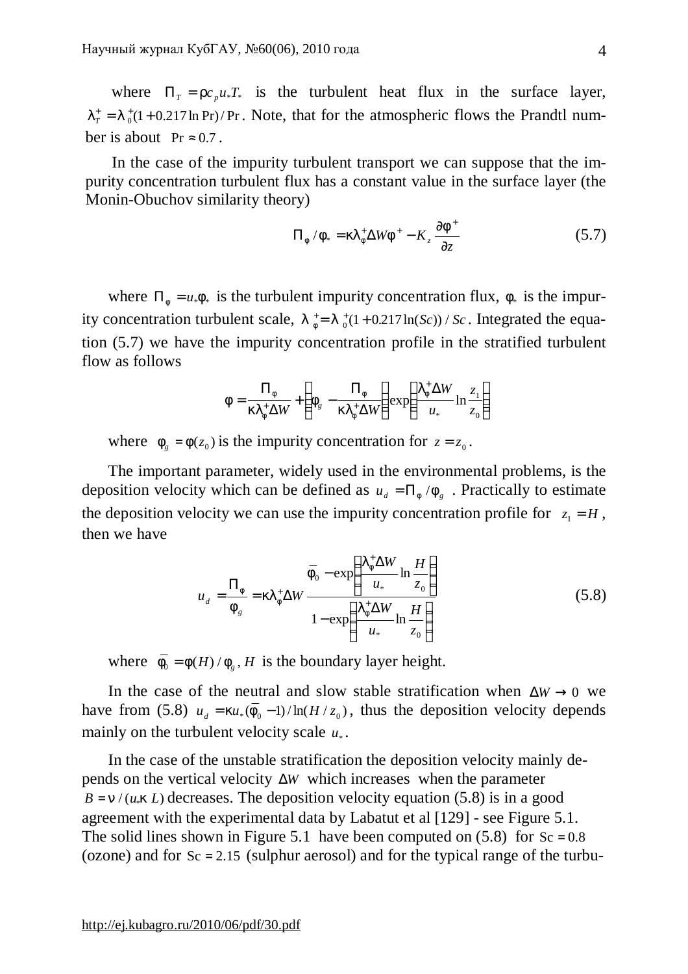where  $\Pi_{T} = r c_{p} u_{*} T_{*}$  is the turbulent heat flux in the surface layer,  $I_T^+ = I_0^+(1+0.217 \ln \text{Pr})/\text{Pr}$ . Note, that for the atmospheric flows the Prandtl number is about  $Pr \approx 0.7$ .

In the case of the impurity turbulent transport we can suppose that the impurity concentration turbulent flux has a constant value in the surface layer (the Monin-Obuchov similarity theory)

$$
\Pi_f / f_* = k l_f^+ \Delta W f^+ - K_z \frac{\partial f^+}{\partial z}
$$
 (5.7)

where  $\Pi_f = u_* f_*$  is the turbulent impurity concentration flux,  $f_*$  is the impurity concentration turbulent scale,  $I_{f}^{+}=I_{0}^{+}(1+0.217\ln(Sc))/Sc$ . Integrated the equation (5.7) we have the impurity concentration profile in the stratified turbulent flow as follows

$$
f = \frac{\Pi_f}{kI_f^+ \Delta W} + \left(f_g - \frac{\Pi_f}{kI_f^+ \Delta W}\right) \exp\left(\frac{I_f^+ \Delta W}{u_*} \ln \frac{z_1}{z_0}\right)
$$

where  $f_g = f(z_0)$  is the impurity concentration for  $z = z_0$ .

The important parameter, widely used in the environmental problems, is the deposition velocity which can be defined as  $u_d = \prod_f / f_g$ . Practically to estimate the deposition velocity we can use the impurity concentration profile for  $z_1 = H$ , then we have

$$
u_{d} = \frac{\Pi_{f}}{f_{g}} = kI_{f}^{+}\Delta W \frac{\overline{f}_{0} - \exp\left(\frac{I_{f}^{+}\Delta W}{u_{*}}\ln\frac{H}{z_{0}}\right)}{1 - \exp\left(\frac{I_{f}^{+}\Delta W}{u_{*}}\ln\frac{H}{z_{0}}\right)}
$$
(5.8)

where  $\overline{f}_0 = f(H)/f_g$ , *H* is the boundary layer height.

In the case of the neutral and slow stable stratification when  $\Delta W \rightarrow 0$  we have from (5.8)  $u_d = k u_* (\overline{F}_0 - 1) / \ln(H / z_0)$ , thus the deposition velocity depends mainly on the turbulent velocity scale  $u_*$ .

In the case of the unstable stratification the deposition velocity mainly depends on the vertical velocity Δ*W* which increases when the parameter  $B = n / (u_* k L)$  decreases. The deposition velocity equation (5.8) is in a good agreement with the experimental data by Labatut et al [129] - see Figure 5.1. The solid lines shown in Figure 5.1 have been computed on  $(5.8)$  for Sc = 0.8 (ozone) and for  $Sc = 2.15$  (sulphur aerosol) and for the typical range of the turbu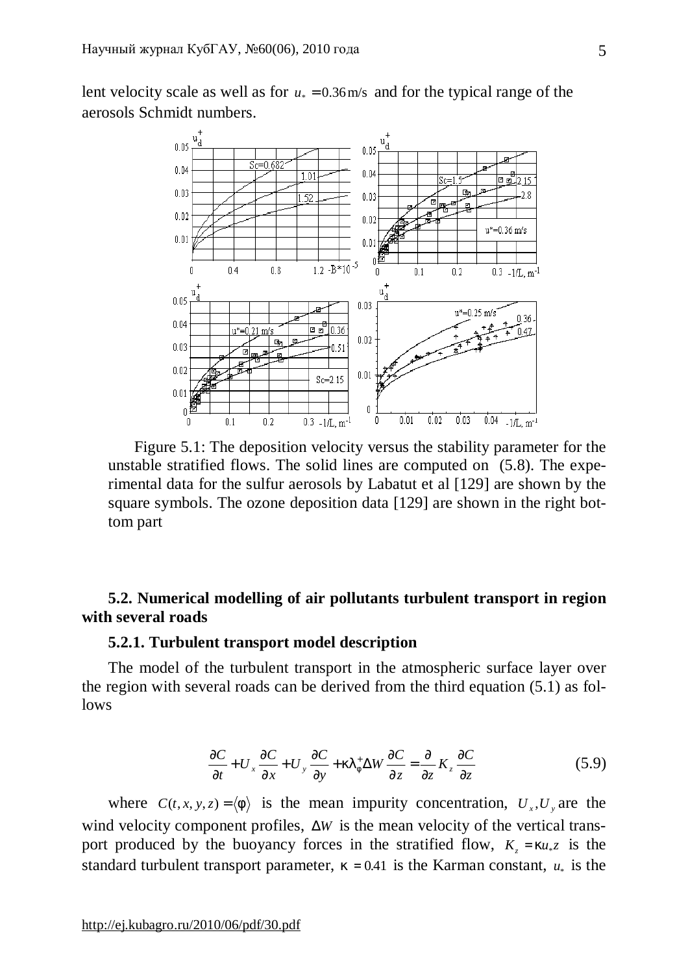lent velocity scale as well as for  $u_* = 0.36$  m/s and for the typical range of the aerosols Schmidt numbers.



Figure 5.1: The deposition velocity versus the stability parameter for the unstable stratified flows. The solid lines are computed on (5.8). The experimental data for the sulfur aerosols by Labatut et al [129] are shown by the square symbols. The ozone deposition data [129] are shown in the right bottom part

# **5.2. Numerical modelling of air pollutants turbulent transport in region with several roads**

# **5.2.1. Turbulent transport model description**

The model of the turbulent transport in the atmospheric surface layer over the region with several roads can be derived from the third equation (5.1) as follows

$$
\frac{\partial C}{\partial t} + U_x \frac{\partial C}{\partial x} + U_y \frac{\partial C}{\partial y} + kI_f^+ \Delta W \frac{\partial C}{\partial z} = \frac{\partial}{\partial z} K_z \frac{\partial C}{\partial z}
$$
(5.9)

where  $C(t, x, y, z) = \langle f \rangle$  is the mean impurity concentration,  $U_x, U_y$  are the wind velocity component profiles, Δ*W* is the mean velocity of the vertical transport produced by the buoyancy forces in the stratified flow,  $K_z = k u_{\ast} z$  is the standard turbulent transport parameter,  $k = 0.41$  is the Karman constant,  $u_*$  is the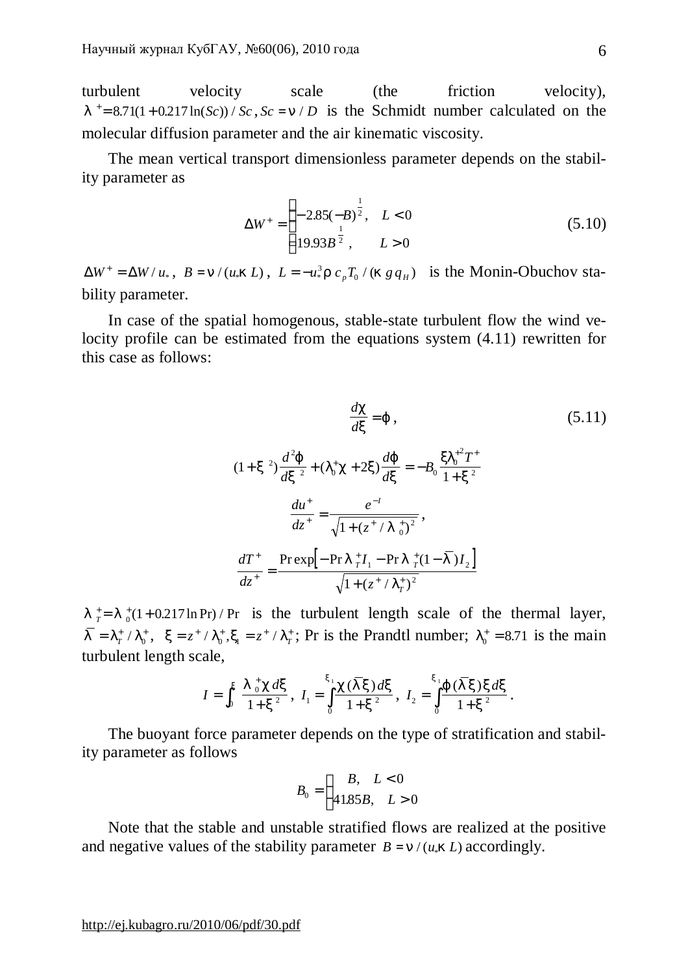turbulent velocity scale (the friction velocity),  $l^+$  = 8.71(1 + 0.217 ln(*Sc*)) / *Sc*, *Sc* = *n* / *D* is the Schmidt number calculated on the molecular diffusion parameter and the air kinematic viscosity.

The mean vertical transport dimensionless parameter depends on the stability parameter as

$$
\Delta W^{+} = \begin{cases} -2.85(-B)^{\frac{1}{2}}, & L < 0\\ 19.93B^{\frac{1}{2}}, & L > 0 \end{cases}
$$
(5.10)

 $\Delta W^+ = \Delta W / u_*$ ,  $B = n / (u_* k L)$ ,  $L = -u_*^3 r c_p T_0 / (k g q_H)$  is the Monin-Obuchov stability parameter.

In case of the spatial homogenous, stable-state turbulent flow the wind velocity profile can be estimated from the equations system (4.11) rewritten for this case as follows:

$$
\frac{dC}{dx} = j,
$$
\n(5.11)  
\n
$$
(1+x^2)\frac{d^2j}{dx^2} + (I_0^+c + 2x)\frac{dj}{dx} = -B_0\frac{xI_0^2T^+}{1+x^2}
$$
\n
$$
\frac{du^+}{dz^+} = \frac{e^{-t}}{\sqrt{1 + (z^+ / I_0^+)^2}},
$$
\n
$$
\frac{dT^+}{dz^+} = \frac{\text{Prexp}[-\text{Pr } I_0^+I_1 - \text{Pr } I_0^+ (1-\bar{I})I_2]}{\sqrt{1 + (z^+ / I_0^+)^2}}
$$

.

 $l_{\tau}^{\dagger} = l_{0}^{\dagger} (1 + 0.217 \ln \text{Pr}) / \text{Pr}$  is the turbulent length scale of the thermal layer,  $\bar{l} = l^{\pm}_{\tau} / l^{\pm}_{0}$  $T_T^* / I_0^*$ ,  $x = z^* / I_0^*$ ,  $x_1 = z^* / I_T^*$ ; Pr is the Prandtl number;  $I_0^* = 8.71$  is the main turbulent length scale,

$$
I = \int_0^x \frac{I_0^+ c \, dx}{1 + x^2}, \ I_1 = \int_0^x \frac{c(\overline{I}x) \, dx}{1 + x^2}, \ I_2 = \int_0^x \frac{f(\overline{I}x) \, dx}{1 + x^2}
$$

The buoyant force parameter depends on the type of stratification and stability parameter as follows

$$
B_0 = \begin{cases} B, & L < 0 \\ 41.85B, & L > 0 \end{cases}
$$

Note that the stable and unstable stratified flows are realized at the positive and negative values of the stability parameter  $B = n / (u_* k L)$  accordingly.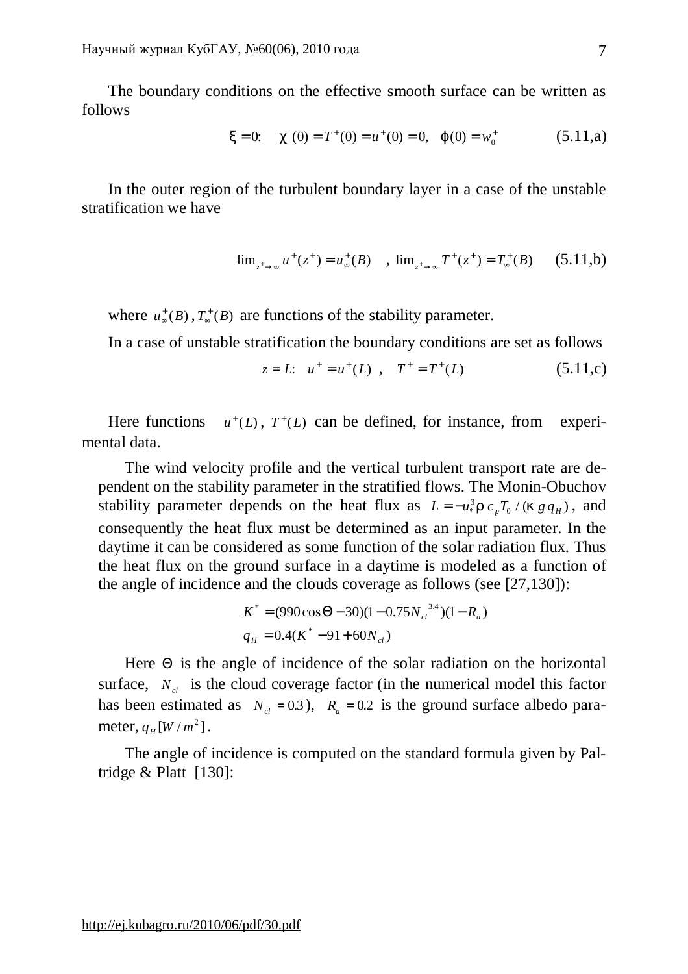The boundary conditions on the effective smooth surface can be written as follows

$$
x = 0
$$
:  $c(0) = T^+(0) = u^+(0) = 0$ ,  $j(0) = w_0^+$  (5.11,a)

In the outer region of the turbulent boundary layer in a case of the unstable stratification we have

$$
\lim_{z^+ \to \infty} u^+(z^+) = u^+_{\infty}(B) \quad , \quad \lim_{z^+ \to \infty} T^+(z^+) = T^+_{\infty}(B) \qquad (5.11,b)
$$

where  $u^*_{\infty}(B)$ ,  $T^*_{\infty}(B)$  are functions of the stability parameter.

In a case of unstable stratification the boundary conditions are set as follows

$$
z = L
$$
:  $u^+ = u^+(L)$ ,  $T^+ = T^+(L)$  (5.11,c)

Here functions  $u^+(L)$ ,  $T^+(L)$  can be defined, for instance, from experimental data.

The wind velocity profile and the vertical turbulent transport rate are dependent on the stability parameter in the stratified flows. The Monin-Obuchov stability parameter depends on the heat flux as  $L = -u^3r c_p T_0 / (k g q_H)$ , and consequently the heat flux must be determined as an input parameter. In the daytime it can be considered as some function of the solar radiation flux. Thus the heat flux on the ground surface in a daytime is modeled as a function of the angle of incidence and the clouds coverage as follows (see [27,130]):

$$
K^* = (990 \cos \Theta - 30)(1 - 0.75 N_{cl}^{3.4})(1 - R_a)
$$
  
\n
$$
q_H = 0.4(K^* - 91 + 60 N_{cl})
$$

Here  $\Theta$  is the angle of incidence of the solar radiation on the horizontal surface,  $N_{cl}$  is the cloud coverage factor (in the numerical model this factor has been estimated as  $N_c = 0.3$ ),  $R_a = 0.2$  is the ground surface albedo parameter,  $q_H[W/m^2]$ .

The angle of incidence is computed on the standard formula given by Paltridge & Platt [130]: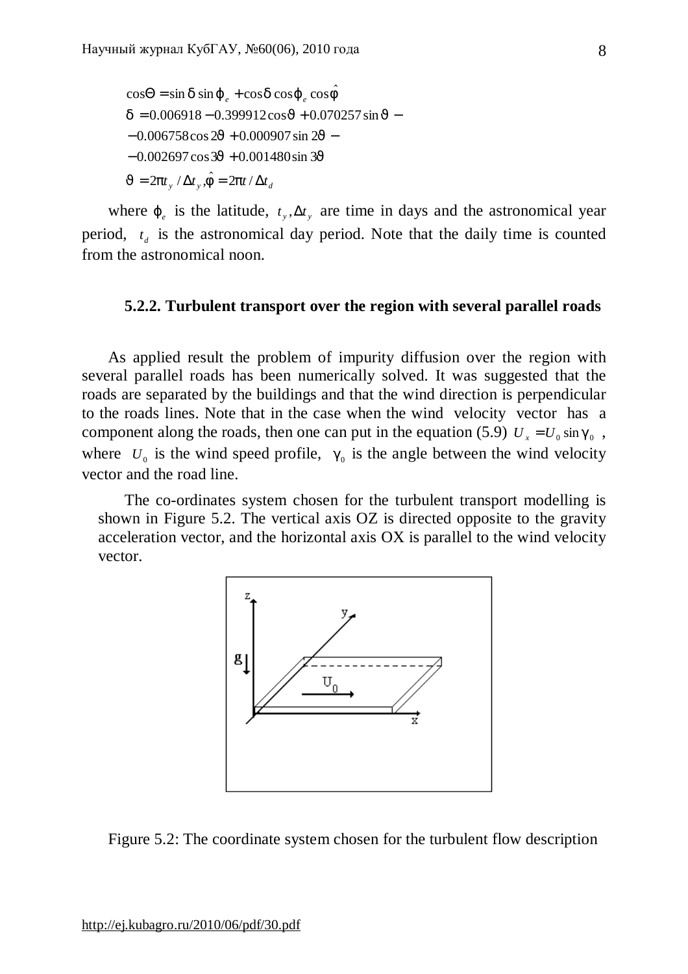$J = 2pt_y / \Delta t_y$ ,  $\hat{f} = 2pt / \Delta t_d$  $\cos\Theta = \sin d \sin j_e + \cos d \cos j_e \cos \hat{f}$  $-0.002697\cos 3J + 0.001480\sin 3J$  $-0.006758\cos 2J + 0.000907\sin 2J$  $d = 0.006918 - 0.399912 \cos J + 0.070257 \sin J$ 

where  $j_e$  is the latitude,  $t_y$ ,  $\Delta t_y$  are time in days and the astronomical year period,  $t_d$  is the astronomical day period. Note that the daily time is counted from the astronomical noon.

### **5.2.2. Turbulent transport over the region with several parallel roads**

As applied result the problem of impurity diffusion over the region with several parallel roads has been numerically solved. It was suggested that the roads are separated by the buildings and that the wind direction is perpendicular to the roads lines. Note that in the case when the wind velocity vector has a component along the roads, then one can put in the equation (5.9)  $U_r = U_0 \sin g_0$ , where  $U_0$  is the wind speed profile,  $g_0$  is the angle between the wind velocity vector and the road line.

The co-ordinates system chosen for the turbulent transport modelling is shown in Figure 5.2. The vertical axis OZ is directed opposite to the gravity acceleration vector, and the horizontal axis OX is parallel to the wind velocity vector.



Figure 5.2: The coordinate system chosen for the turbulent flow description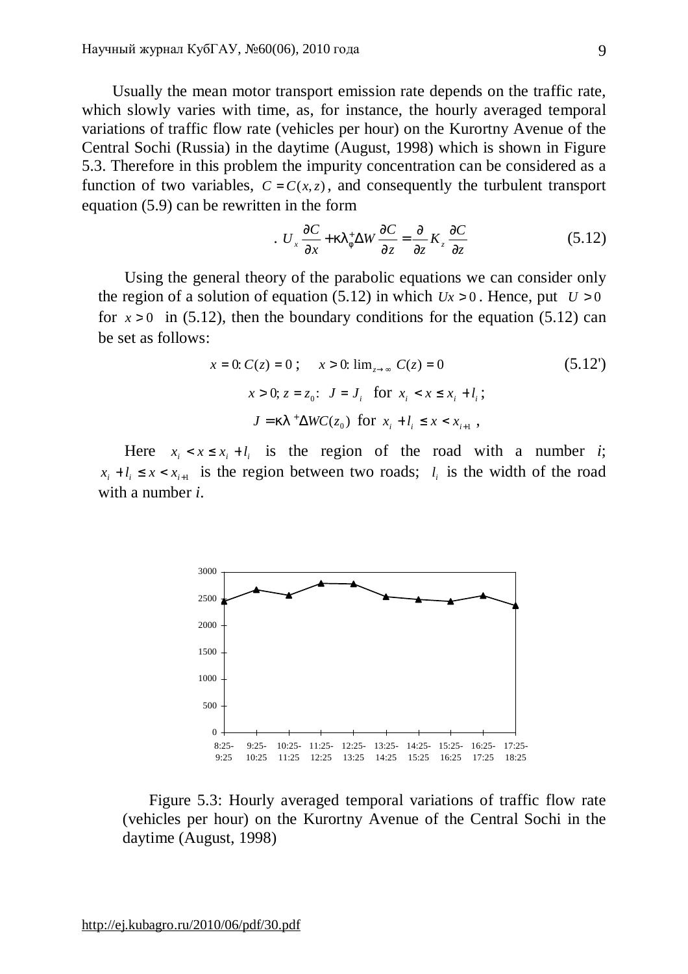Usually the mean motor transport emission rate depends on the traffic rate, which slowly varies with time, as, for instance, the hourly averaged temporal variations of traffic flow rate (vehicles per hour) on the Kurortny Avenue of the Central Sochi (Russia) in the daytime (August, 1998) which is shown in Figure 5.3. Therefore in this problem the impurity concentration can be considered as a function of two variables,  $C = C(x, z)$ , and consequently the turbulent transport equation (5.9) can be rewritten in the form

$$
U_x \frac{\partial C}{\partial x} + kI_f^+ \Delta W \frac{\partial C}{\partial z} = \frac{\partial}{\partial z} K_z \frac{\partial C}{\partial z}
$$
 (5.12)

Using the general theory of the parabolic equations we can consider only the region of a solution of equation (5.12) in which  $Ux > 0$ . Hence, put  $U > 0$ for  $x > 0$  in (5.12), then the boundary conditions for the equation (5.12) can be set as follows:

$$
x = 0: C(z) = 0; \quad x > 0: \lim_{z \to \infty} C(z) = 0
$$
\n
$$
x > 0; z = z_0: J = J_i \text{ for } x_i < x \le x_i + l_i;
$$
\n
$$
J = kl^+ \Delta WC(z_0) \text{ for } x_i + l_i \le x < x_{i+1},
$$
\n(5.12')

Here  $x_i < x \leq x_i + l_i$  is the region of the road with a number *i*;  $x_i + l_i \leq x < x_{i+1}$  is the region between two roads;  $l_i$  is the width of the road with a number *i*.



Figure 5.3: Hourly averaged temporal variations of traffic flow rate (vehicles per hour) on the Kurortny Avenue of the Central Sochi in the daytime (August, 1998)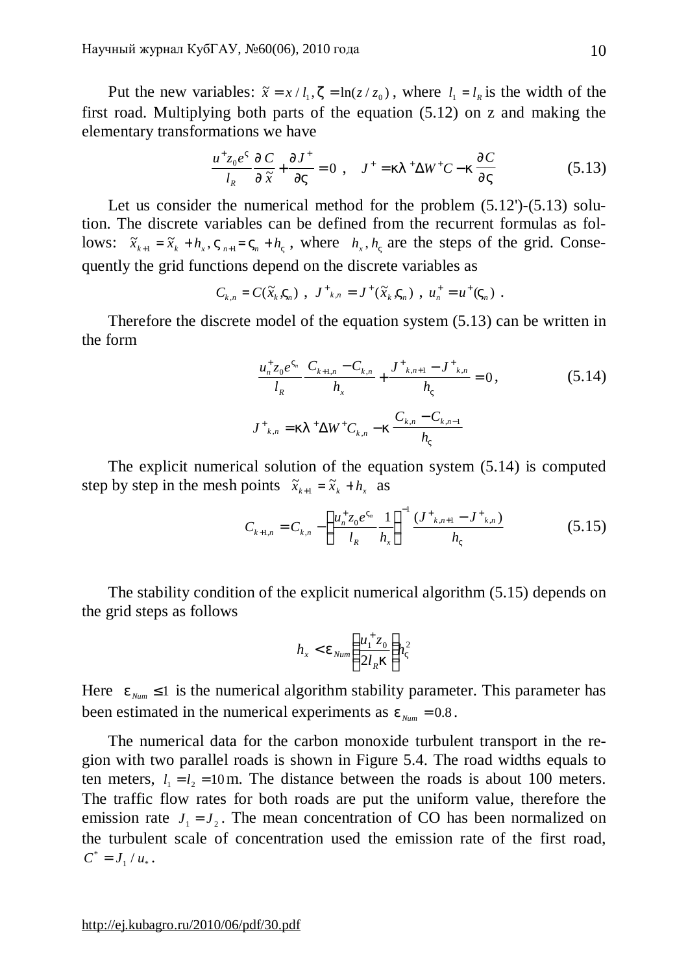Put the new variables:  $\tilde{x} = x / l_1$ ,  $z = \ln(z / z_0)$ , where  $l_1 = l_R$  is the width of the first road. Multiplying both parts of the equation (5.12) on z and making the elementary transformations we have

$$
\frac{u^+ z_0 e^V}{l_R} \frac{\P C}{\P \tilde{x}} + \frac{\P J^+}{\P V} = 0 \ , \quad J^+ = kI^+ \Delta W^+ C - k \frac{\P C}{\P V} \tag{5.13}
$$

Let us consider the numerical method for the problem  $(5.12')$ - $(5.13)$  solution. The discrete variables can be defined from the recurrent formulas as follows:  $\tilde{x}_{k+1} = \tilde{x}_k + h_x$ ,  $V_{n+1} = V_n + h_y$ , where  $h_x$ ,  $h_y$  are the steps of the grid. Consequently the grid functions depend on the discrete variables as

$$
C_{k,n} = C(\tilde{x}_k, V_n)
$$
,  $J^+_{k,n} = J^+(\tilde{x}_k, V_n)$ ,  $u_n^+ = u^+(V_n)$ .

Therefore the discrete model of the equation system (5.13) can be written in the form

$$
\frac{u_n^+ z_0 e^{V_n}}{l_k} \frac{C_{k+1,n} - C_{k,n}}{h_x} + \frac{J_{k,n+1} - J_{k,n}^+}{h_y} = 0,
$$
\n(5.14)\n
$$
J_{k,n}^+ = kI_{k,n}^+ \Delta W^+ C_{k,n} - k \frac{C_{k,n} - C_{k,n-1}}{h_y}
$$

The explicit numerical solution of the equation system (5.14) is computed step by step in the mesh points  $\tilde{x}_{k+1} = \tilde{x}_k + h_x$  as

$$
C_{k+1,n} = C_{k,n} - \left(\frac{u_n^+ z_0 e^{V_n}}{l_k} \frac{1}{h_x}\right)^{-1} \frac{(J^+_{k,n+1} - J^+_{k,n})}{h_y}
$$
(5.15)

The stability condition of the explicit numerical algorithm (5.15) depends on the grid steps as follows

$$
h_x < e_{Num}\left(\frac{u_1^+ z_0}{2l_R k}\right)h_v^2
$$

Here  $e_{_{Num}} \leq 1$  is the numerical algorithm stability parameter. This parameter has been estimated in the numerical experiments as  $e_{Num} = 0.8$ .

The numerical data for the carbon monoxide turbulent transport in the region with two parallel roads is shown in Figure 5.4. The road widths equals to ten meters,  $l_1 = l_2 = 10$  m. The distance between the roads is about 100 meters. The traffic flow rates for both roads are put the uniform value, therefore the emission rate  $J_1 = J_2$ . The mean concentration of CO has been normalized on the turbulent scale of concentration used the emission rate of the first road,  $C^* = J_1 / u_*$ .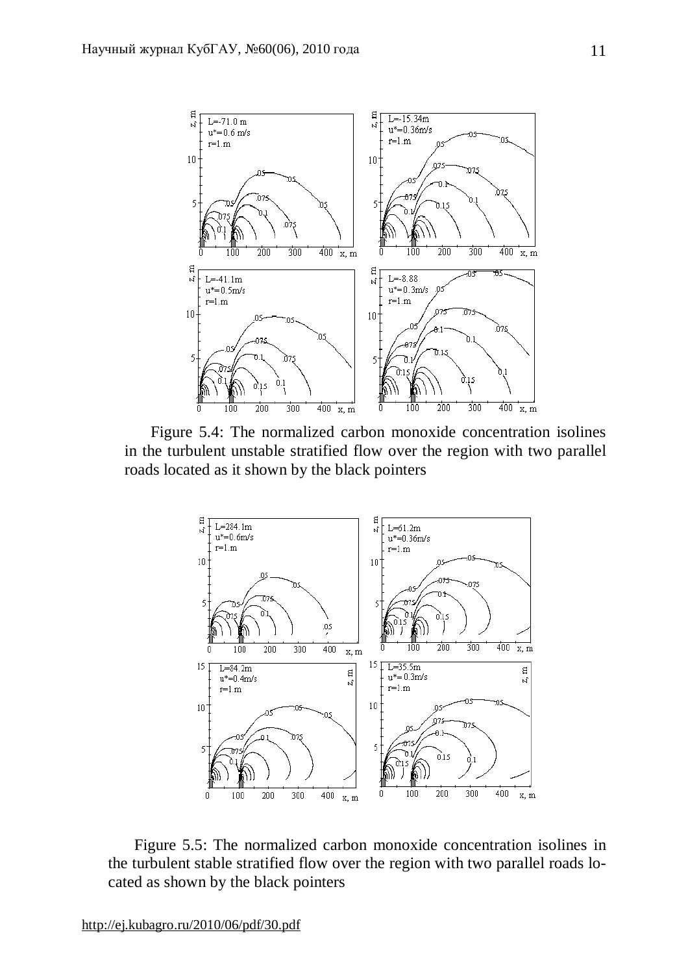

Figure 5.4: The normalized carbon monoxide concentration isolines in the turbulent unstable stratified flow over the region with two parallel roads located as it shown by the black pointers



Figure 5.5: The normalized carbon monoxide concentration isolines in the turbulent stable stratified flow over the region with two parallel roads located as shown by the black pointers

<http://ej.kubagro.ru/2010/06/pdf/30.pdf>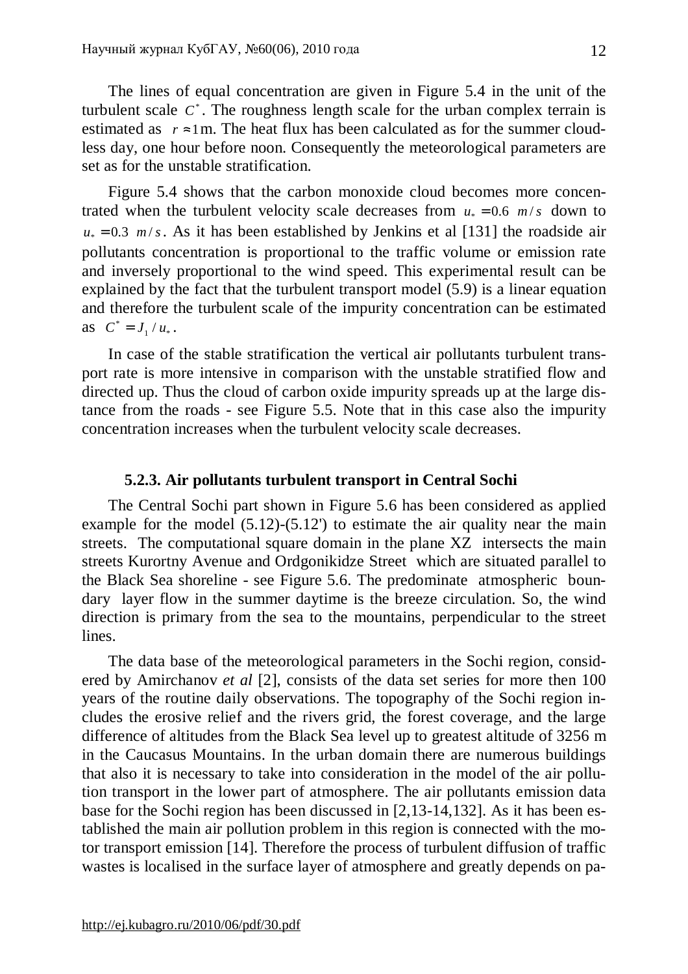The lines of equal concentration are given in Figure 5.4 in the unit of the turbulent scale  $C^*$ . The roughness length scale for the urban complex terrain is estimated as  $r \approx 1$ m. The heat flux has been calculated as for the summer cloudless day, one hour before noon. Consequently the meteorological parameters are set as for the unstable stratification.

Figure 5.4 shows that the carbon monoxide cloud becomes more concentrated when the turbulent velocity scale decreases from  $u_* = 0.6$  *m/s* down to  $u_* = 0.3$  *m/s*. As it has been established by Jenkins et al [131] the roadside air pollutants concentration is proportional to the traffic volume or emission rate and inversely proportional to the wind speed. This experimental result can be explained by the fact that the turbulent transport model (5.9) is a linear equation and therefore the turbulent scale of the impurity concentration can be estimated as  $C^* = J_1 / u_*$ .

In case of the stable stratification the vertical air pollutants turbulent transport rate is more intensive in comparison with the unstable stratified flow and directed up. Thus the cloud of carbon oxide impurity spreads up at the large distance from the roads - see Figure 5.5. Note that in this case also the impurity concentration increases when the turbulent velocity scale decreases.

# **5.2.3. Air pollutants turbulent transport in Central Sochi**

The Central Sochi part shown in Figure 5.6 has been considered as applied example for the model  $(5.12)$ - $(5.12')$  to estimate the air quality near the main streets. The computational square domain in the plane XZ intersects the main streets Kurortny Avenue and Ordgonikidze Street which are situated parallel to the Black Sea shoreline - see Figure 5.6. The predominate atmospheric boundary layer flow in the summer daytime is the breeze circulation. So, the wind direction is primary from the sea to the mountains, perpendicular to the street lines.

The data base of the meteorological parameters in the Sochi region, considered by Amirchanov *et al* [2], consists of the data set series for more then 100 years of the routine daily observations. The topography of the Sochi region includes the erosive relief and the rivers grid, the forest coverage, and the large difference of altitudes from the Black Sea level up to greatest altitude of 3256 m in the Caucasus Mountains. In the urban domain there are numerous buildings that also it is necessary to take into consideration in the model of the air pollution transport in the lower part of atmosphere. The air pollutants emission data base for the Sochi region has been discussed in [2,13-14,132]. As it has been established the main air pollution problem in this region is connected with the motor transport emission [14]. Therefore the process of turbulent diffusion of traffic wastes is localised in the surface layer of atmosphere and greatly depends on pa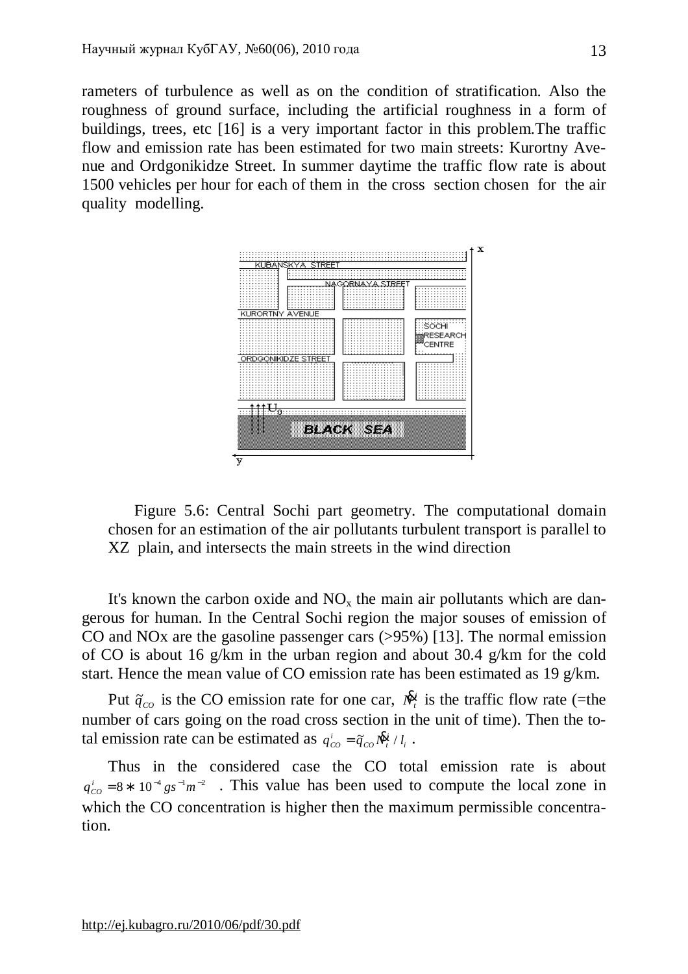rameters of turbulence as well as on the condition of stratification. Also the roughness of ground surface, including the artificial roughness in a form of buildings, trees, etc [16] is a very important factor in this problem.The traffic flow and emission rate has been estimated for two main streets: Kurortny Avenue and Ordgonikidze Street. In summer daytime the traffic flow rate is about 1500 vehicles per hour for each of them in the cross section chosen for the air quality modelling.



Figure 5.6: Central Sochi part geometry. The computational domain chosen for an estimation of the air pollutants turbulent transport is parallel to XZ plain, and intersects the main streets in the wind direction

It's known the carbon oxide and  $NO<sub>x</sub>$  the main air pollutants which are dangerous for human. In the Central Sochi region the major souses of emission of CO and NOx are the gasoline passenger cars (>95%) [13]. The normal emission of CO is about 16 g/km in the urban region and about 30.4 g/km for the cold start. Hence the mean value of CO emission rate has been estimated as 19 g/km.

Put  $\tilde{q}_{co}$  is the CO emission rate for one car,  $\mathcal{R}$  $\frac{1}{x}$  is the traffic flow rate (=the number of cars going on the road cross section in the unit of time). Then the total emission rate can be estimated as  $q_{co}^i = \tilde{q}_{co} \mathbf{R}_i^i / l_i$ .

Thus in the considered case the CO total emission rate is about  $q_{co}^{i} = 8 * 10^{-4}$  *gs*<sup>-1</sup> $m^{-2}$  . This value has been used to compute the local zone in which the CO concentration is higher then the maximum permissible concentration.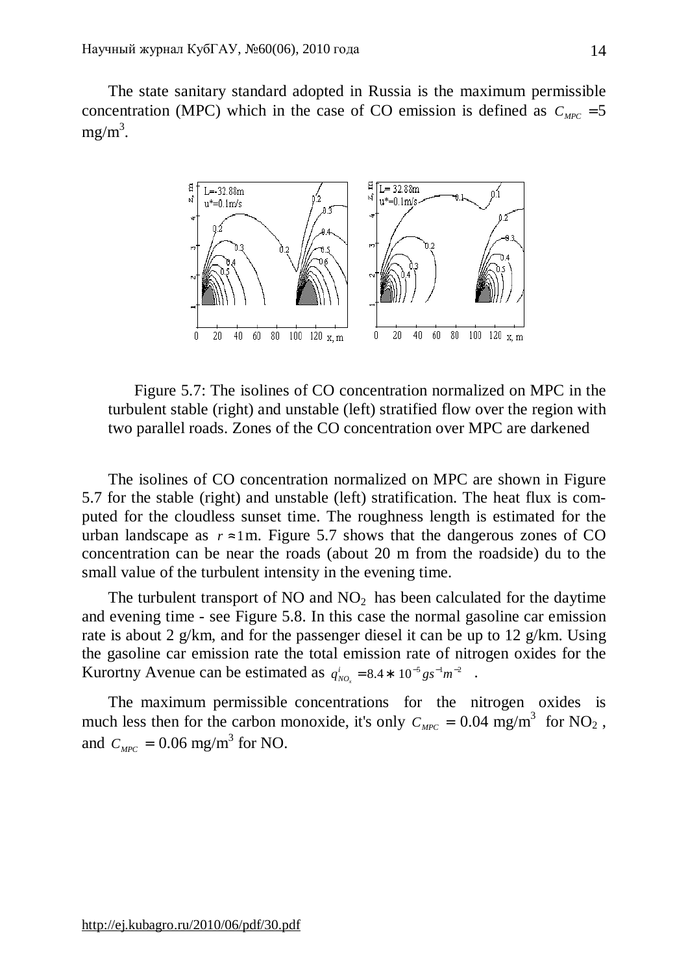The state sanitary standard adopted in Russia is the maximum permissible concentration (MPC) which in the case of CO emission is defined as  $C_{MPC} = 5$  $mg/m<sup>3</sup>$ .



Figure 5.7: The isolines of CO concentration normalized on MPC in the turbulent stable (right) and unstable (left) stratified flow over the region with two parallel roads. Zones of the CO concentration over MPC are darkened

The isolines of CO concentration normalized on MPC are shown in Figure 5.7 for the stable (right) and unstable (left) stratification. The heat flux is computed for the cloudless sunset time. The roughness length is estimated for the urban landscape as  $r \approx 1$ m. Figure 5.7 shows that the dangerous zones of CO concentration can be near the roads (about 20 m from the roadside) du to the small value of the turbulent intensity in the evening time.

The turbulent transport of  $NO$  and  $NO<sub>2</sub>$  has been calculated for the daytime and evening time - see Figure 5.8. In this case the normal gasoline car emission rate is about 2 g/km, and for the passenger diesel it can be up to 12 g/km. Using the gasoline car emission rate the total emission rate of nitrogen oxides for the Kurortny Avenue can be estimated as  $q_{NO_x}^i = 8.4 * 10^{-5} g s^{-1} m^{-2}$ .

The maximum permissible concentrations for the nitrogen oxides is much less then for the carbon monoxide, it's only  $C_{MPC} = 0.04$  mg/m<sup>3</sup> for NO<sub>2</sub>, and  $C_{\text{MPC}} = 0.06$  mg/m<sup>3</sup> for NO.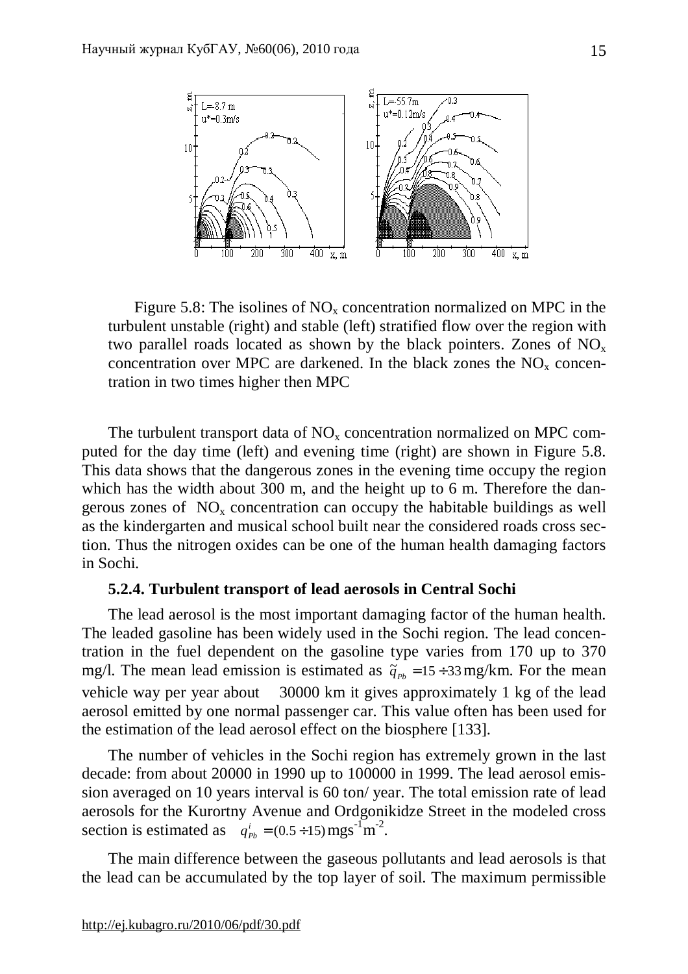

Figure 5.8: The isolines of  $NO<sub>x</sub>$  concentration normalized on MPC in the turbulent unstable (right) and stable (left) stratified flow over the region with two parallel roads located as shown by the black pointers. Zones of  $NO<sub>x</sub>$ concentration over MPC are darkened. In the black zones the  $NO<sub>x</sub>$  concentration in two times higher then MPC

The turbulent transport data of  $NO<sub>x</sub>$  concentration normalized on MPC computed for the day time (left) and evening time (right) are shown in Figure 5.8. This data shows that the dangerous zones in the evening time occupy the region which has the width about 300 m, and the height up to 6 m. Therefore the dangerous zones of  $NO<sub>x</sub>$  concentration can occupy the habitable buildings as well as the kindergarten and musical school built near the considered roads cross section. Thus the nitrogen oxides can be one of the human health damaging factors in Sochi.

# **5.2.4. Turbulent transport of lead aerosols in Central Sochi**

The lead aerosol is the most important damaging factor of the human health. The leaded gasoline has been widely used in the Sochi region. The lead concentration in the fuel dependent on the gasoline type varies from 170 up to 370 mg/l. The mean lead emission is estimated as  $\tilde{q}_{p_b} = 15 \div 33$  mg/km. For the mean vehicle way per year about 30000 km it gives approximately 1 kg of the lead aerosol emitted by one normal passenger car. This value often has been used for the estimation of the lead aerosol effect on the biosphere [133].

The number of vehicles in the Sochi region has extremely grown in the last decade: from about 20000 in 1990 up to 100000 in 1999. The lead aerosol emission averaged on 10 years interval is 60 ton/ year. The total emission rate of lead aerosols for the Kurortny Avenue and Ordgonikidze Street in the modeled cross section is estimated as  $q_{p_b}^i = (0.5 \div 15) \text{ mgs}^{-1} \text{ m}^{-2}$ .

The main difference between the gaseous pollutants and lead aerosols is that the lead can be accumulated by the top layer of soil. The maximum permissible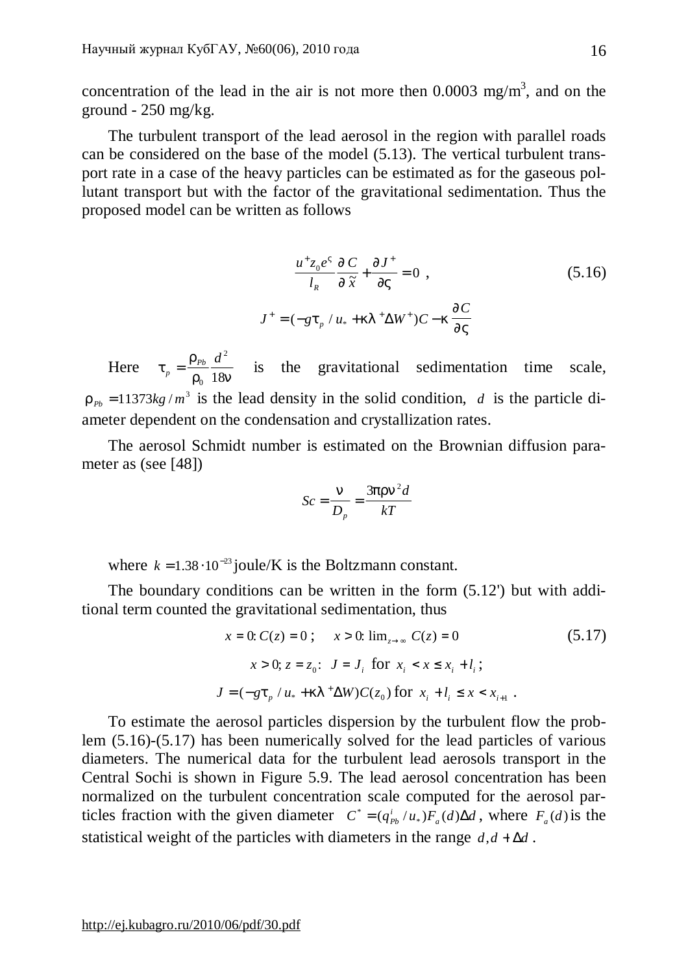concentration of the lead in the air is not more then  $0.0003$  mg/m<sup>3</sup>, and on the ground - 250 mg/kg.

The turbulent transport of the lead aerosol in the region with parallel roads can be considered on the base of the model (5.13). The vertical turbulent transport rate in a case of the heavy particles can be estimated as for the gaseous pollutant transport but with the factor of the gravitational sedimentation. Thus the proposed model can be written as follows

$$
\frac{u^+ z_0 e^V}{l_R} \frac{\int \int C}{\int \int x} + \frac{\int I}{\int V} = 0 , \qquad (5.16)
$$
  

$$
J^+ = (-gt_p / u_* + kl^+ \Delta W^+) C - k \frac{\int \int C}{\int V}
$$

Here  $t_n = \frac{r}{a_n}$  $r_p$ <sup>-</sup>  $r_p$ </sup> 18*n*  $=\frac{\Gamma_{Pb}}{16}$ 0 2  $\frac{u}{18n}$  is the gravitational sedimentation time scale,  $r_{p_b} = 11373kg/m^3$  is the lead density in the solid condition, *d* is the particle diameter dependent on the condensation and crystallization rates.

The aerosol Schmidt number is estimated on the Brownian diffusion parameter as (see [48])

$$
Sc = \frac{n}{D_p} = \frac{3prn^2d}{kT}
$$

where  $k = 1.38 \cdot 10^{-23}$  joule/K is the Boltzmann constant.

The boundary conditions can be written in the form (5.12') but with additional term counted the gravitational sedimentation, thus

$$
x = 0: C(z) = 0; \quad x > 0: \lim_{z \to \infty} C(z) = 0
$$
(5.17)  

$$
x > 0; z = z_0: J = J_i \text{ for } x_i < x \le x_i + l_i;
$$
  

$$
J = (-gt_p/u_* + kl^+ \Delta W)C(z_0) \text{ for } x_i + l_i \le x < x_{i+1}.
$$

To estimate the aerosol particles dispersion by the turbulent flow the problem (5.16)-(5.17) has been numerically solved for the lead particles of various diameters. The numerical data for the turbulent lead aerosols transport in the Central Sochi is shown in Figure 5.9. The lead aerosol concentration has been normalized on the turbulent concentration scale computed for the aerosol particles fraction with the given diameter  $C^* = (q_{pb}^i/u_*)F_a(d)\Delta d$ , where  $F_a(d)$  is the statistical weight of the particles with diameters in the range  $d, d + \Delta d$ .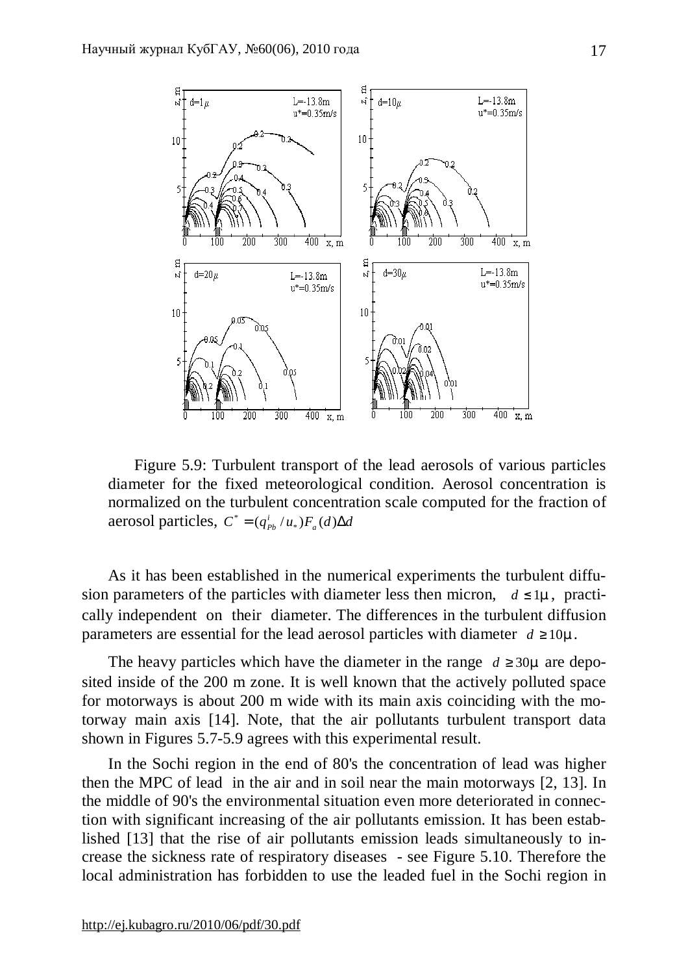

Figure 5.9: Turbulent transport of the lead aerosols of various particles diameter for the fixed meteorological condition. Aerosol concentration is normalized on the turbulent concentration scale computed for the fraction of aerosol particles,  $C^* = (q_{Pb}^i/u_*)F_a(d)\Delta d$ 

As it has been established in the numerical experiments the turbulent diffusion parameters of the particles with diameter less then micron,  $d \leq 1m$ , practically independent on their diameter. The differences in the turbulent diffusion parameters are essential for the lead aerosol particles with diameter  $d \ge 10m$ .

The heavy particles which have the diameter in the range  $d \geq 30m$  are deposited inside of the 200 m zone. It is well known that the actively polluted space for motorways is about 200 m wide with its main axis coinciding with the motorway main axis [14]. Note, that the air pollutants turbulent transport data shown in Figures 5.7-5.9 agrees with this experimental result.

In the Sochi region in the end of 80's the concentration of lead was higher then the MPC of lead in the air and in soil near the main motorways [2, 13]. In the middle of 90's the environmental situation even more deteriorated in connection with significant increasing of the air pollutants emission. It has been established [13] that the rise of air pollutants emission leads simultaneously to increase the sickness rate of respiratory diseases - see Figure 5.10. Therefore the local administration has forbidden to use the leaded fuel in the Sochi region in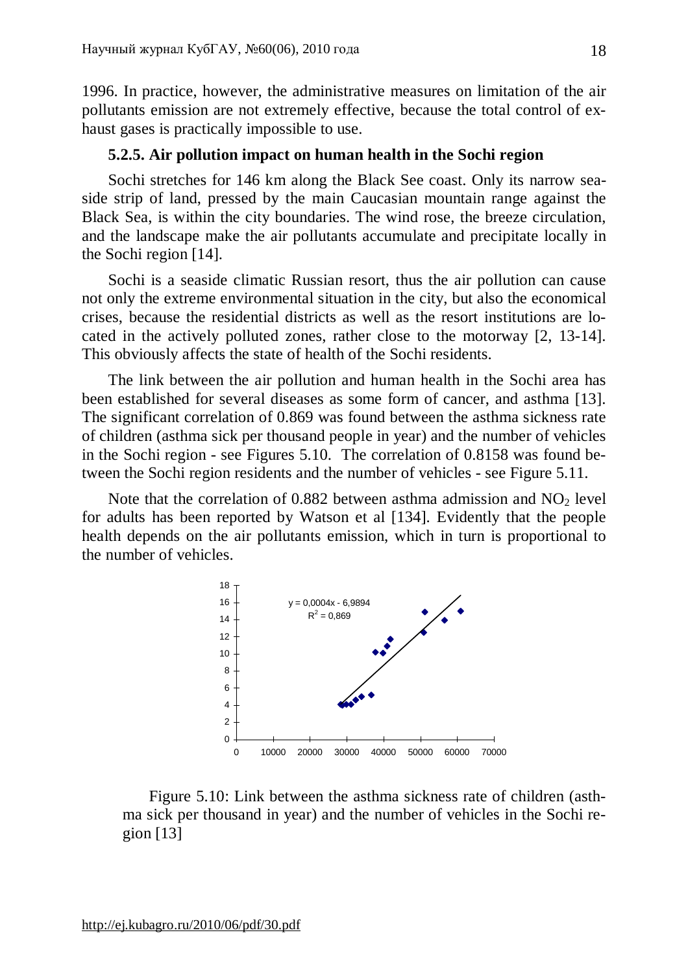1996. In practice, however, the administrative measures on limitation of the air pollutants emission are not extremely effective, because the total control of exhaust gases is practically impossible to use.

# **5.2.5. Air pollution impact on human health in the Sochi region**

Sochi stretches for 146 km along the Black See coast. Only its narrow seaside strip of land, pressed by the main Caucasian mountain range against the Black Sea, is within the city boundaries. The wind rose, the breeze circulation, and the landscape make the air pollutants accumulate and precipitate locally in the Sochi region [14].

Sochi is a seaside climatic Russian resort, thus the air pollution can cause not only the extreme environmental situation in the city, but also the economical crises, because the residential districts as well as the resort institutions are located in the actively polluted zones, rather close to the motorway [2, 13-14]. This obviously affects the state of health of the Sochi residents.

The link between the air pollution and human health in the Sochi area has been established for several diseases as some form of cancer, and asthma [13]. The significant correlation of 0.869 was found between the asthma sickness rate of children (asthma sick per thousand people in year) and the number of vehicles in the Sochi region - see Figures 5.10. The correlation of 0.8158 was found between the Sochi region residents and the number of vehicles - see Figure 5.11.

Note that the correlation of 0.882 between asthma admission and  $NO<sub>2</sub>$  level for adults has been reported by Watson et al [134]. Evidently that the people health depends on the air pollutants emission, which in turn is proportional to the number of vehicles.



Figure 5.10: Link between the asthma sickness rate of children (asthma sick per thousand in year) and the number of vehicles in the Sochi region [13]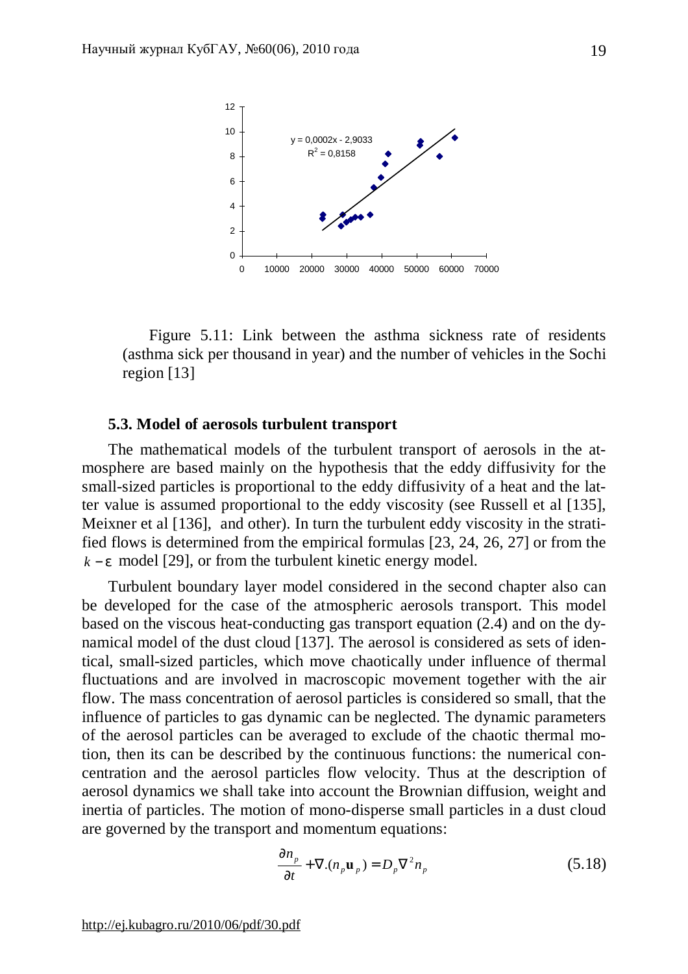

Figure 5.11: Link between the asthma sickness rate of residents (asthma sick per thousand in year) and the number of vehicles in the Sochi region [13]

#### **5.3. Model of aerosols turbulent transport**

The mathematical models of the turbulent transport of aerosols in the atmosphere are based mainly on the hypothesis that the eddy diffusivity for the small-sized particles is proportional to the eddy diffusivity of a heat and the latter value is assumed proportional to the eddy viscosity (see Russell et al [135], Meixner et al [136], and other). In turn the turbulent eddy viscosity in the stratified flows is determined from the empirical formulas [23, 24, 26, 27] or from the *k* − *e* model [29], or from the turbulent kinetic energy model.

Turbulent boundary layer model considered in the second chapter also can be developed for the case of the atmospheric aerosols transport. This model based on the viscous heat-conducting gas transport equation (2.4) and on the dynamical model of the dust cloud [137]. The aerosol is considered as sets of identical, small-sized particles, which move chaotically under influence of thermal fluctuations and are involved in macroscopic movement together with the air flow. The mass concentration of aerosol particles is considered so small, that the influence of particles to gas dynamic can be neglected. The dynamic parameters of the aerosol particles can be averaged to exclude of the chaotic thermal motion, then its can be described by the continuous functions: the numerical concentration and the aerosol particles flow velocity. Thus at the description of aerosol dynamics we shall take into account the Brownian diffusion, weight and inertia of particles. The motion of mono-disperse small particles in a dust cloud are governed by the transport and momentum equations:

$$
\frac{\partial n_{p}}{\partial t} + \nabla.(n_{p} \mathbf{u}_{p}) = D_{p} \nabla^{2} n_{p}
$$
\n(5.18)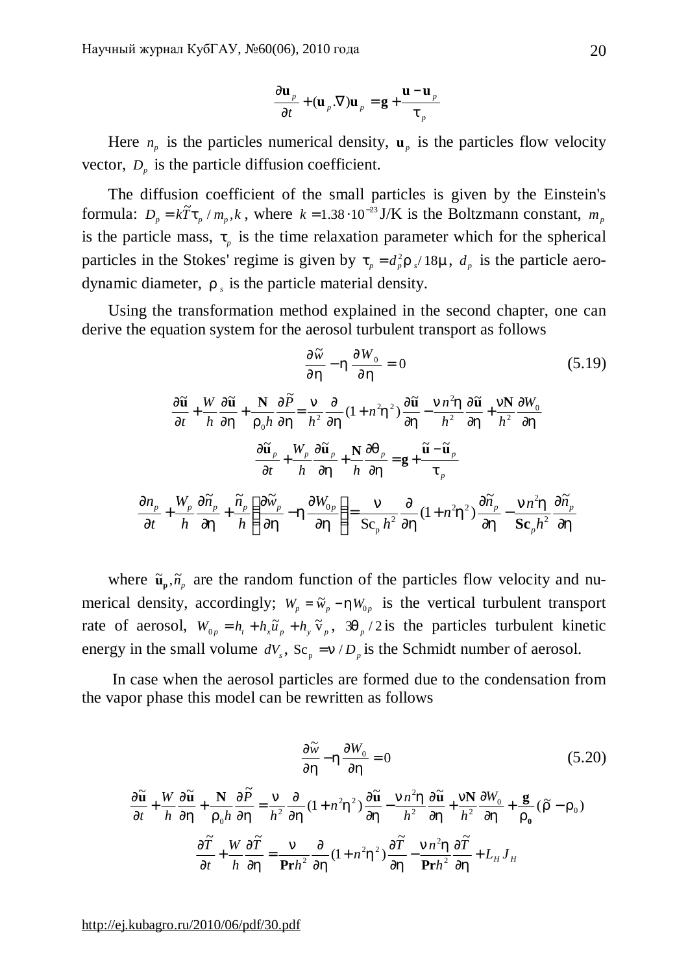$$
\frac{\partial \mathbf{u}_p}{\partial t} + (\mathbf{u}_p \cdot \nabla) \mathbf{u}_p = \mathbf{g} + \frac{\mathbf{u} - \mathbf{u}_p}{t_p}
$$

Here  $n_p$  is the particles numerical density,  $\mathbf{u}_p$  is the particles flow velocity vector,  $D_p$  is the particle diffusion coefficient.

The diffusion coefficient of the small particles is given by the Einstein's formula:  $D_p = k\tilde{T}t_p / m_p, k$ , where  $k = 1.38 \cdot 10^{-23}$  J/K is the Boltzmann constant,  $m_p$ is the particle mass,  $t_p$  is the time relaxation parameter which for the spherical particles in the Stokes' regime is given by  $t_p = d_p^2 r_s / 18m$ ,  $d_p$  is the particle aerodynamic diameter,  $r<sub>s</sub>$  is the particle material density.

Using the transformation method explained in the second chapter, one can derive the equation system for the aerosol turbulent transport as follows

$$
\frac{\partial \widetilde{w}}{\partial h} - h \frac{\partial W_0}{\partial h} = 0
$$
(5.19)  

$$
\frac{\partial \widetilde{u}}{\partial t} + \frac{W}{h} \frac{\partial \widetilde{u}}{\partial h} + \frac{N}{r_0 h} \frac{\partial \widetilde{P}}{\partial h} = \frac{n}{h^2} \frac{\partial}{\partial h} (1 + n^2 h^2) \frac{\partial \widetilde{u}}{\partial h} - \frac{n n^2 h}{h^2} \frac{\partial \widetilde{u}}{\partial h} + \frac{n N}{h^2} \frac{\partial W_0}{\partial h}
$$

$$
\frac{\partial \widetilde{u}}{\partial t} + \frac{W_p}{h} \frac{\partial \widetilde{u}}{\partial h} + \frac{N}{h} \frac{\partial q_p}{\partial h} = g + \frac{\widetilde{u} - \widetilde{u}_p}{t_p}
$$

$$
\frac{\partial n_p}{\partial t} + \frac{W_p}{h} \frac{\partial \widetilde{n}_p}{\partial h} + \frac{\widetilde{n}_p}{h} \left( \frac{\partial \widetilde{w}_p}{\partial h} - h \frac{\partial W_0}{\partial h} \right) = \frac{n}{Sc_p h^2} \frac{\partial}{\partial h} (1 + n^2 h^2) \frac{\partial \widetilde{n}_p}{\partial h} - \frac{n n^2 h}{Sc_p h^2} \frac{\partial \widetilde{n}_p}{\partial h}
$$

p

where  $\tilde{\mathbf{u}}_p$ ,  $\tilde{n}_p$  are the random function of the particles flow velocity and numerical density, accordingly;  $W_p = \tilde{w}_p - hW_{0p}$  is the vertical turbulent transport rate of aerosol,  $W_{0p} = h_t + h_x \tilde{u}_p + h_y \tilde{v}_p$ ,  $3q_p / 2$  is the particles turbulent kinetic energy in the small volume  $dV_s$ ,  $Sc_p = n/D_p$  is the Schmidt number of aerosol.

In case when the aerosol particles are formed due to the condensation from the vapor phase this model can be rewritten as follows

$$
\frac{\partial \widetilde{w}}{\partial h} - h \frac{\partial W_0}{\partial h} = 0
$$
(5.20)  

$$
\frac{\partial \widetilde{u}}{\partial t} + \frac{W}{h} \frac{\partial \widetilde{u}}{\partial h} + \frac{N}{r_0 h} \frac{\partial \widetilde{P}}{\partial h} = \frac{n}{h^2} \frac{\partial}{\partial h} (1 + n^2 h^2) \frac{\partial \widetilde{u}}{\partial h} - \frac{n n^2 h}{h^2} \frac{\partial \widetilde{u}}{\partial h} + \frac{n N}{h^2} \frac{\partial W_0}{\partial h} + \frac{g}{r_0} (\widetilde{r} - r_0)
$$

$$
\frac{\partial \widetilde{T}}{\partial t} + \frac{W}{h} \frac{\partial \widetilde{T}}{\partial h} = \frac{n}{\mathbf{Pr} h^2} \frac{\partial}{\partial h} (1 + n^2 h^2) \frac{\partial \widetilde{T}}{\partial h} - \frac{n n^2 h}{\mathbf{Pr} h^2} \frac{\partial \widetilde{T}}{\partial h} + L_H J_H
$$

<http://ej.kubagro.ru/2010/06/pdf/30.pdf>

∂

*p*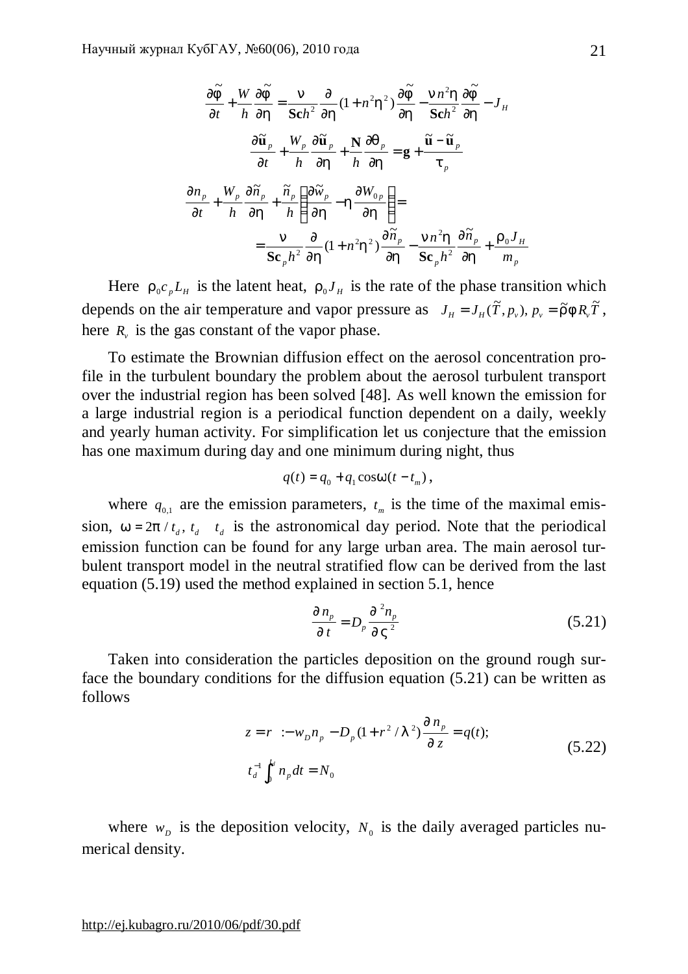$$
\frac{\partial \widetilde{f}}{\partial t} + \frac{W}{h} \frac{\partial \widetilde{f}}{\partial h} = \frac{n}{\text{Sch}^2} \frac{\partial}{\partial h} (1 + n^2 h^2) \frac{\partial \widetilde{f}}{\partial h} - \frac{n n^2 h}{\text{Sch}^2} \frac{\partial \widetilde{f}}{\partial h} - J_H
$$
\n
$$
\frac{\partial \widetilde{\mathbf{u}}_p}{\partial t} + \frac{W_p}{h} \frac{\partial \widetilde{\mathbf{u}}_p}{\partial h} + \frac{N}{h} \frac{\partial q_p}{\partial h} = \mathbf{g} + \frac{\widetilde{\mathbf{u}} - \widetilde{\mathbf{u}}_p}{t_p}
$$
\n
$$
\frac{\partial n_p}{\partial t} + \frac{W_p}{h} \frac{\partial \widetilde{n}_p}{\partial h} + \frac{\widetilde{n}_p}{h} \left( \frac{\partial \widetilde{w}_p}{\partial h} - h \frac{\partial W_{0p}}{\partial h} \right) =
$$
\n
$$
= \frac{n}{\text{Sc}_p h^2} \frac{\partial}{\partial h} (1 + n^2 h^2) \frac{\partial \widetilde{n}_p}{\partial h} - \frac{n n^2 h}{\text{Sc}_p h^2} \frac{\partial \widetilde{n}_p}{\partial h} + \frac{r_0 J_H}{m_p}
$$

Here  $r_0 c_p L_H$  is the latent heat,  $r_0 J_H$  is the rate of the phase transition which depends on the air temperature and vapor pressure as  $J_H = J_H(\tilde{T}, p_v)$ ,  $p_v = \tilde{r} f R_v \tilde{T}$ , here  $R_v$  is the gas constant of the vapor phase.

To estimate the Brownian diffusion effect on the aerosol concentration profile in the turbulent boundary the problem about the aerosol turbulent transport over the industrial region has been solved [48]. As well known the emission for a large industrial region is a periodical function dependent on a daily, weekly and yearly human activity. For simplification let us conjecture that the emission has one maximum during day and one minimum during night, thus

$$
q(t) = q_0 + q_1 \cos w(t - t_m),
$$

where  $q_{0,1}$  are the emission parameters,  $t_m$  is the time of the maximal emission,  $w = 2p / t_d$ ,  $t_d$  *t*<sub>d</sub> is the astronomical day period. Note that the periodical emission function can be found for any large urban area. The main aerosol turbulent transport model in the neutral stratified flow can be derived from the last equation (5.19) used the method explained in section 5.1, hence

$$
\frac{\P{n_p}}{\P{t}} = D_p \frac{\P^2 n_p}{\P{V^2}} \tag{5.21}
$$

Taken into consideration the particles deposition on the ground rough surface the boundary conditions for the diffusion equation (5.21) can be written as follows

$$
z = r \therefore w_D n_p - D_p (1 + r^2 / I^2) \frac{\P n_p}{\P z} = q(t);
$$
  
\n
$$
t_d^{-1} \int_0^{t_d} n_p dt = N_0
$$
\n(5.22)

where  $w<sub>D</sub>$  is the deposition velocity,  $N<sub>0</sub>$  is the daily averaged particles numerical density.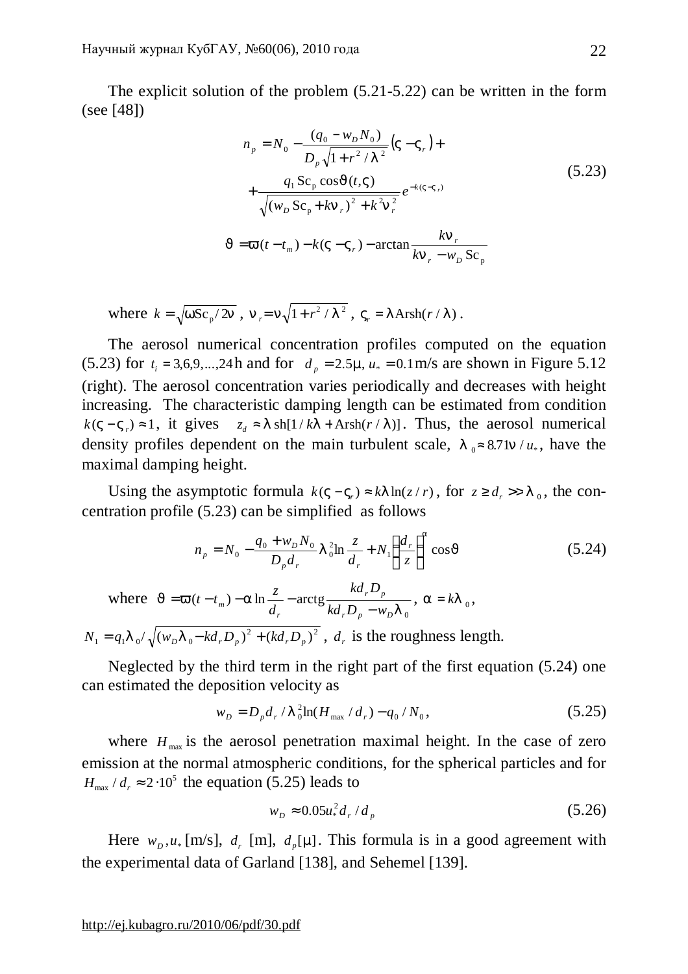The explicit solution of the problem (5.21-5.22) can be written in the form (see [48])

$$
n_{p} = N_{0} - \frac{(q_{0} - w_{D}N_{0})}{D_{p}\sqrt{1 + r^{2}/I^{2}}}(V - V_{r}) +
$$
  
+ 
$$
\frac{q_{1}Sc_{p}\cos J(t, V)}{\sqrt{(w_{D}Sc_{p} + kn_{r})^{2} + k^{2}n_{r}^{2}}}e^{-k(V - V_{r})}
$$
  

$$
J = \mathbf{V}(t - t_{m}) - k(V - V_{r}) - \arctan \frac{k n_{r}}{k n_{r} - w_{D} Sc_{p}}
$$
 (5.23)

where  $k = \sqrt{wSc_p/2n}$ ,  $n_r = n\sqrt{1 + r^2 / l^2}$ ,  $V_r = l \operatorname{Arsh}(r/l)$ .

The aerosol numerical concentration profiles computed on the equation (5.23) for  $t_i = 3.6.9,...,24$  h and for  $d_p = 2.5$ *m*,  $u_* = 0.1$  m/s are shown in Figure 5.12 (right). The aerosol concentration varies periodically and decreases with height increasing. The characteristic damping length can be estimated from condition  $k(V - V_r) \approx 1$ , it gives  $z_d \approx I \frac{\text{sh}[1/kI + \text{Arsh}(r/I)]}{I}$ . Thus, the aerosol numerical density profiles dependent on the main turbulent scale,  $l_0 \approx 8.71n / u_*$ , have the maximal damping height.

Using the asymptotic formula  $k(V - V_r) \approx kI \ln(z/r)$ , for  $z \ge d_r >> 1$ <sub>0</sub>, the concentration profile (5.23) can be simplified as follows

$$
n_{p} = N_{0} - \frac{q_{0} + w_{D} N_{0}}{D_{p} d_{r}} I_{0}^{2} \ln \frac{z}{d_{r}} + N_{1} \left(\frac{d_{r}}{z}\right)^{a} \cos J
$$
 (5.24)

where 0  $(t - t_m) - a \ln \frac{z}{t}$  - arctg *l*  $J = V(t - t_m) - a$  $r P_p$  *W D r p r*  $\frac{d}{dt}$  and  $\frac{d}{dt}$   $kd_r D_n - w$ *kd D d*  $(t - t_m) - a \ln \frac{z}{t}$  $= \mathbf{V}(t-t_m) - a \ln \frac{2}{d_r} - \arctg \frac{ka_r B_p}{kd_r D_n - w_p I_0}, \quad a = kI_0,$ 

 $^{2}$   $($   $\mu$   $\lambda$   $\Omega$   $\lambda$ <sup>2</sup>  $N_1 = q_1 I_0 / \sqrt{(w_p I_0 - kd_r D_p)^2 + (kd_r D_p)^2}$ ,  $d_r$  is the roughness length.

Neglected by the third term in the right part of the first equation (5.24) one can estimated the deposition velocity as

$$
w_D = D_p d_r / I_0^2 \ln(H_{\text{max}} / d_r) - q_0 / N_0, \qquad (5.25)
$$

where  $H_{\text{max}}$  is the aerosol penetration maximal height. In the case of zero emission at the normal atmospheric conditions, for the spherical particles and for  $H_{\text{max}}$  /  $d_r \approx 2.10^5$  the equation (5.25) leads to

$$
w_D \approx 0.05u_*^2 d_r / d_p \tag{5.26}
$$

Here  $w_p, u_*$  [m/s],  $d_r$  [m],  $d_p[m]$ . This formula is in a good agreement with the experimental data of Garland [138], and Sehemel [139].

<http://ej.kubagro.ru/2010/06/pdf/30.pdf>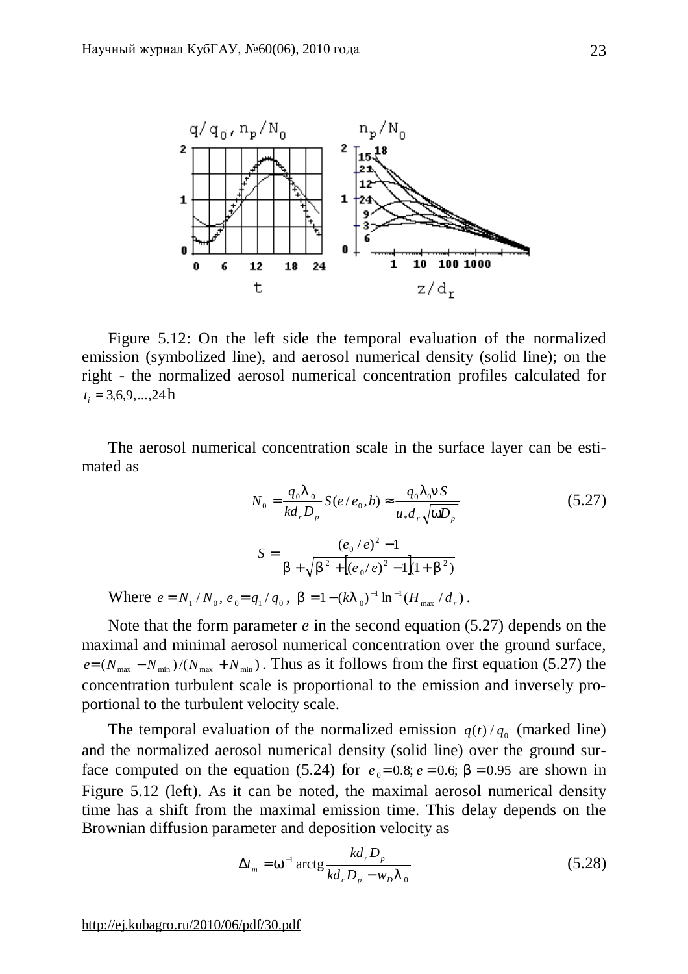

Figure 5.12: On the left side the temporal evaluation of the normalized emission (symbolized line), and aerosol numerical density (solid line); on the right - the normalized aerosol numerical concentration profiles calculated for  $t_i = 3,6,9,...,24h$ 

The aerosol numerical concentration scale in the surface layer can be estimated as

$$
N_0 = \frac{q_0 I_0}{kd_r D_p} S(e/e_0, b) \approx \frac{q_0 I_0 n S}{u_* d_r \sqrt{w D_p}}
$$
(5.27)  

$$
S = \frac{(e_0 / e)^2 - 1}{b + \sqrt{b^2 + (e_0 / e)^2 - 1}(1 + b^2)}
$$

Where  $e = N_1 / N_0$ ,  $e_0 = q_1 / q_0$ ,  $b = 1 - (kI_0)^{-1} \ln^{-1} (H_{\text{max}} / d_r)$  $b = 1 - (kI_0)^{-1} \ln^{-1} (H_{\text{max}} / d_r).$ 

Note that the form parameter *e* in the second equation (5.27) depends on the maximal and minimal aerosol numerical concentration over the ground surface,  $e = (N_{\text{max}} - N_{\text{min}})/(N_{\text{max}} + N_{\text{min}})$ . Thus as it follows from the first equation (5.27) the concentration turbulent scale is proportional to the emission and inversely proportional to the turbulent velocity scale.

The temporal evaluation of the normalized emission  $q(t)/q_0$  (marked line) and the normalized aerosol numerical density (solid line) over the ground surface computed on the equation (5.24) for  $e_0 = 0.8$ ;  $e = 0.6$ ;  $b = 0.95$  are shown in Figure 5.12 (left). As it can be noted, the maximal aerosol numerical density time has a shift from the maximal emission time. This delay depends on the Brownian diffusion parameter and deposition velocity as

$$
\Delta t_m = w^{-1} \arctg \frac{kd_r D_p}{kd_r D_p - w_D l_0}
$$
\n(5.28)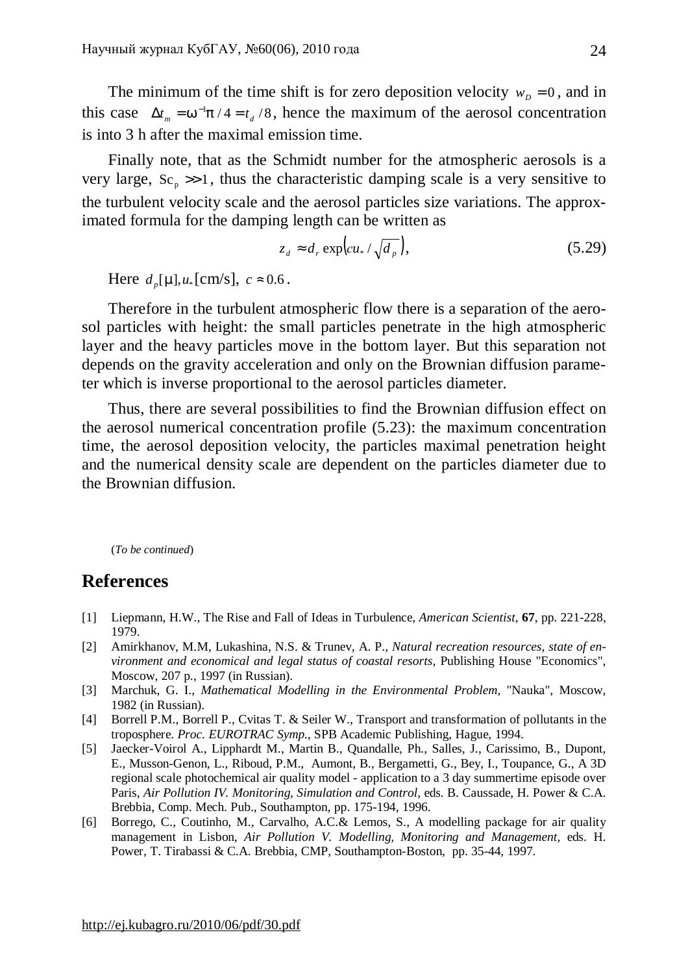The minimum of the time shift is for zero deposition velocity  $w_D = 0$ , and in this case  $\Delta t_m = w^{-1} p / 4 = t_d / 8$ , hence the maximum of the aerosol concentration is into 3 h after the maximal emission time.

Finally note, that as the Schmidt number for the atmospheric aerosols is a very large,  $Sc<sub>n</sub> \gg 1$ , thus the characteristic damping scale is a very sensitive to the turbulent velocity scale and the aerosol particles size variations. The approximated formula for the damping length can be written as

$$
z_d \approx d_r \exp\left(c u_* / \sqrt{d_p}\right),\tag{5.29}
$$

Here  $d_p[m], u_*[cm/s], c \approx 0.6$ .

Therefore in the turbulent atmospheric flow there is a separation of the aerosol particles with height: the small particles penetrate in the high atmospheric layer and the heavy particles move in the bottom layer. But this separation not depends on the gravity acceleration and only on the Brownian diffusion parameter which is inverse proportional to the aerosol particles diameter.

Thus, there are several possibilities to find the Brownian diffusion effect on the aerosol numerical concentration profile (5.23): the maximum concentration time, the aerosol deposition velocity, the particles maximal penetration height and the numerical density scale are dependent on the particles diameter due to the Brownian diffusion.

(*To be continued*)

# **References**

- [1] Liepmann, H.W., The Rise and Fall of Ideas in Turbulence, *American Scientist*, **67**, pp. 221-228, 1979.
- [2] Amirkhanov, M.M, Lukashina, N.S. & Trunev, A. P., *Natural recreation resources, state of environment and economical and legal status of coastal resorts*, Publishing House "Economics", Moscow, 207 p., 1997 (in Russian).
- [3] Marchuk, G. I., *Mathematical Modelling in the Environmental Problem*, "Nauka", Moscow, 1982 (in Russian).
- [4] Borrell P.M., Borrell P., Cvitas T. & Seiler W., Transport and transformation of pollutants in the troposphere. *Proc. EUROTRAC Symp.*, SPB Academic Publishing, Hague, 1994.
- [5] Jaecker-Voirol A., Lipphardt M., Martin B., Quandalle, Ph., Salles, J., Carissimo, B., Dupont, E., Musson-Genon, L., Riboud, P.M., Aumont, B., Bergametti, G., Bey, I., Toupance, G., A 3D regional scale photochemical air quality model - application to a 3 day summertime episode over Paris*, Air Pollution IV. Monitoring, Simulation and Control,* eds. B. Caussade, H. Power & C.A. Brebbia, Comp. Mech. Pub., Southampton, pp. 175-194, 1996.
- [6] Borrego, C., Coutinho, M., Carvalho, A.C.& Lemos, S., A modelling package for air quality management in Lisbon, *Air Pollution V. Modelling, Monitoring and Management,* eds. H. Power, T. Tirabassi & C.A. Brebbia, CMP, Southampton-Boston, pp. 35-44, 1997.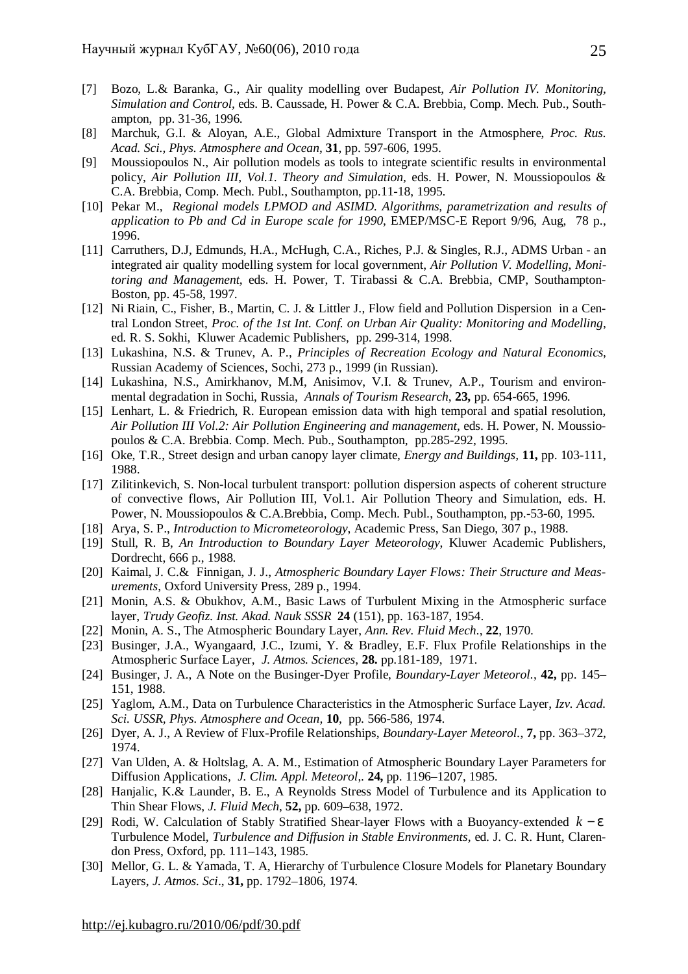- [7] Bozo, L.& Baranka, G., Air quality modelling over Budapest, *Air Pollution IV. Monitoring, Simulation and Control,* eds. B. Caussade, H. Power & C.A. Brebbia, Comp. Mech. Pub., Southampton, pp. 31-36, 1996.
- [8] Marchuk, G.I. & Aloyan, A.E., Global Admixture Transport in the Atmosphere, *Proc. Rus. Acad. Sci., Phys. Atmosphere and Ocean*, **31**, pp. 597-606, 1995.
- [9] Moussiopoulos N., Air pollution models as tools to integrate scientific results in environmental policy, *Air Pollution III, Vol.1. Theory and Simulation,* eds. H. Power, N. Moussiopoulos & C.A. Brebbia, Comp. Mech. Publ., Southampton, pp.11-18, 1995.
- [10] Pekar M., *Regional models LPMOD and ASIMD. Algorithms, parametrization and results of application to Pb and Cd in Europe scale for 1990*, EMEP/MSC-E Report 9/96, Aug, 78 p., 1996.
- [11] Carruthers, D.J, Edmunds, H.A., McHugh, C.A., Riches, P.J. & Singles, R.J., ADMS Urban an integrated air quality modelling system for local government, *Air Pollution V. Modelling, Monitoring and Management,* eds. H. Power, T. Tirabassi & C.A. Brebbia, CMP, Southampton-Boston, pp. 45-58, 1997.
- [12] Ni Riain, C., Fisher, B., Martin, C. J. & Littler J., Flow field and Pollution Dispersion in a Central London Street, *Proc. of the 1st Int. Conf. on Urban Air Quality: Monitoring and Modelling*, ed. R. S. Sokhi, Kluwer Academic Publishers, pp. 299-314, 1998.
- [13] Lukashina, N.S. & Trunev, A. P., *Principles of Recreation Ecology and Natural Economics,* Russian Academy of Sciences, Sochi, 273 p., 1999 (in Russian).
- [14] Lukashina, N.S., Amirkhanov, M.M, Anisimov, V.I. & Trunev, A.P., Tourism and environmental degradation in Sochi, Russia, *Annals of Tourism Research*, **23,** pp. 654-665, 1996.
- [15] Lenhart, L. & Friedrich, R. European emission data with high temporal and spatial resolution, *Air Pollution III Vol.2: Air Pollution Engineering and management*, eds. H. Power, N. Moussiopoulos & C.A. Brebbia. Comp. Mech. Pub., Southampton, pp.285-292, 1995.
- [16] Oke, T.R., Street design and urban canopy layer climate, *Energy and Buildings,* **11,** pp. 103-111, 1988.
- [17] Zilitinkevich, S. Non-local turbulent transport: pollution dispersion aspects of coherent structure of convective flows, Air Pollution III, Vol.1. Air Pollution Theory and Simulation, eds. H. Power, N. Moussiopoulos & C.A.Brebbia, Comp. Mech. Publ., Southampton, рр.-53-60, 1995.
- [18] Arya, S. P., *Introduction to Micrometeorology*, Academic Press, San Diego, 307 p., 1988.
- [19] Stull, R. B, *An Introduction to Boundary Layer Meteorology*, Kluwer Academic Publishers, Dordrecht, 666 p., 1988.
- [20] Kaimal, J. C.& Finnigan, J. J., *Atmospheric Boundary Layer Flows: Their Structure and Measurements*, Oxford University Press, 289 p., 1994.
- [21] Monin, A.S. & Obukhov, A.M., Basic Laws of Turbulent Mixing in the Atmospheric surface layer, *Trudy Geofiz. Inst. Akad. Nauk SSSR* **24** (151), pp. 163-187, 1954.
- [22] Monin, A. S., The Atmospheric Boundary Layer, *Ann. Rev. Fluid Mech*., **22**, 1970.
- [23] Businger, J.A., Wyangaard, J.C., Izumi, Y. & Bradley, E.F. Flux Profile Relationships in the Atmospheric Surface Layer, *J. Atmos. Sciences*, **28.** pp.181-189, 1971.
- [24] Businger, J. A., A Note on the Businger-Dyer Profile, *Boundary-Layer Meteorol.*, **42,** pp. 145– 151, 1988.
- [25] Yaglom, A.M., Data on Turbulence Characteristics in the Atmospheric Surface Layer, *Izv. Acad. Sci. USSR, Phys. Atmosphere and Ocean,* **10**, pp. 566-586, 1974.
- [26] Dyer, A. J., A Review of Flux-Profile Relationships, *Boundary-Layer Meteorol.*, **7,** pp. 363–372, 1974.
- [27] Van Ulden, A. & Holtslag, A. A. M., Estimation of Atmospheric Boundary Layer Parameters for Diffusion Applications, *J. Clim. Appl. Meteorol*,. **24,** pp. 1196–1207, 1985.
- [28] Hanjalic, K.& Launder, B. E., A Reynolds Stress Model of Turbulence and its Application to Thin Shear Flows, *J. Fluid Mech*, **52,** pp. 609–638, 1972.
- [29] Rodi, W. Calculation of Stably Stratified Shear-layer Flows with a Buoyancy-extended *k* − *e* Turbulence Model, *Turbulence and Diffusion in Stable Environments*, ed. J. C. R. Hunt, Clarendon Press, Oxford, pp. 111–143, 1985.
- [30] Mellor, G. L. & Yamada, T. A, Hierarchy of Turbulence Closure Models for Planetary Boundary Layers, *J. Atmos. Sci*., **31,** pp. 1792–1806, 1974.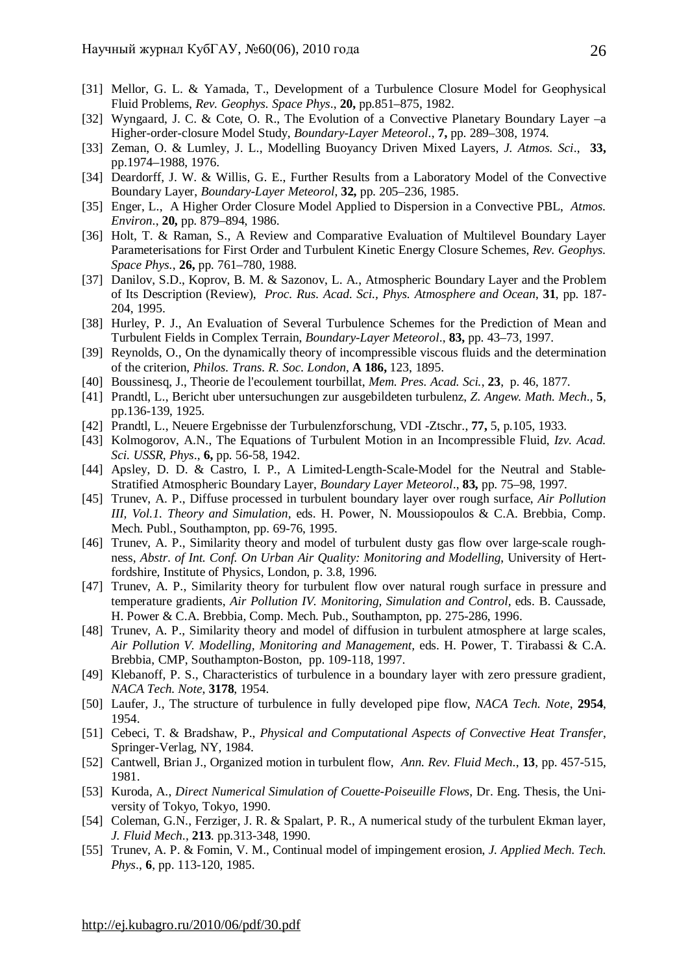- [31] Mellor, G. L. & Yamada, T., Development of a Turbulence Closure Model for Geophysical Fluid Problems, *Rev. Geophys. Space Phys*., **20,** pp.851–875, 1982.
- [32] Wyngaard, J. C. & Cote, O. R., The Evolution of a Convective Planetary Boundary Layer –a Higher-order-closure Model Study, *Boundary-Layer Meteorol*., **7,** pp. 289–308, 1974.
- [33] Zeman, O. & Lumley, J. L., Modelling Buoyancy Driven Mixed Layers, *J. Atmos. Sci*., **33,**  pp.1974–1988, 1976.
- [34] Deardorff, J. W. & Willis, G. E., Further Results from a Laboratory Model of the Convective Boundary Layer, *Boundary-Layer Meteorol*, **32,** pp. 205–236, 1985.
- [35] Enger, L., A Higher Order Closure Model Applied to Dispersion in a Convective PBL, *Atmos. Environ*., **20,** pp. 879–894, 1986.
- [36] Holt, T. & Raman, S., A Review and Comparative Evaluation of Multilevel Boundary Layer Parameterisations for First Order and Turbulent Kinetic Energy Closure Schemes, *Rev. Geophys. Space Phys.*, **26,** pp. 761–780, 1988.
- [37] Danilov, S.D., Koprov, B. M. & Sazonov, L. A., Atmospheric Boundary Layer and the Problem of Its Description (Review), *Proc. Rus. Acad. Sci., Phys. Atmosphere and Ocean*, **31**, pp. 187- 204, 1995.
- [38] Hurley, P. J., An Evaluation of Several Turbulence Schemes for the Prediction of Mean and Turbulent Fields in Complex Terrain, *Boundary-Layer Meteorol*., **83,** pp. 43–73, 1997.
- [39] Reynolds, O., On the dynamically theory of incompressible viscous fluids and the determination of the criterion, *Philos. Trans. R. Soc. London*, **A 186,** 123, 1895.
- [40] Boussinesq, J., Theorie de l'ecoulement tourbillat, *Mem. Pres. Acad. Sci.*, **23**, p. 46, 1877.
- [41] Prandtl, L., Bericht uber untersuchungen zur ausgebildeten turbulenz, *Z. Angew. Math. Mech*., **5**, pp.136-139, 1925.
- [42] Prandtl, L., Neuere Ergebnisse der Turbulenzforschung, VDI -Ztschr., **77,** 5, p.105, 1933.
- [43] Kolmogorov, A.N., The Equations of Turbulent Motion in an Incompressible Fluid, *Izv. Acad. Sci. USSR, Phys*., **6,** pp. 56-58, 1942.
- [44] Apsley, D. D. & Castro, I. P., A Limited-Length-Scale-Model for the Neutral and Stable-Stratified Atmospheric Boundary Layer, *Boundary Layer Meteorol*., **83,** pp. 75–98, 1997.
- [45] Trunev, A. P., Diffuse processed in turbulent boundary layer over rough surface, *Air Pollution III, Vol.1. Theory and Simulation,* eds. H. Power, N. Moussiopoulos & C.A. Brebbia, Comp. Mech. Publ., Southampton, pp. 69-76, 1995.
- [46] Trunev, A. P., Similarity theory and model of turbulent dusty gas flow over large-scale roughness, *Abstr. of Int. Conf. On Urban Air Quality: Monitoring and Modelling*, University of Hertfordshire, Institute of Physics, London, p. 3.8, 1996.
- [47] Trunev, A. P., Similarity theory for turbulent flow over natural rough surface in pressure and temperature gradients, *Air Pollution IV. Monitoring, Simulation and Control,* eds. B. Caussade, H. Power & C.A. Brebbia, Comp. Mech. Pub., Southampton, pp. 275-286, 1996.
- [48] Trunev, A. P., Similarity theory and model of diffusion in turbulent atmosphere at large scales, *Air Pollution V. Modelling, Monitoring and Management,* eds. H. Power, T. Tirabassi & C.A. Brebbia, CMP, Southampton-Boston, pp. 109-118, 1997.
- [49] Klebanoff, P. S., Characteristics of turbulence in a boundary layer with zero pressure gradient, *NACA Tech. Note*, **3178**, 1954.
- [50] Laufer, J., The structure of turbulence in fully developed pipe flow, *NACA Tech. Note*, **2954**, 1954.
- [51] Cebeci, T. & Bradshaw, P., *Physical and Computational Aspects of Convective Heat Transfer*, Springer-Verlag, NY, 1984.
- [52] Cantwell, Brian J., Organized motion in turbulent flow, *Ann. Rev. Fluid Mech*., **13**, pp. 457-515, 1981.
- [53] Kuroda, A., *Direct Numerical Simulation of Couette-Poiseuille Flows*, Dr. Eng. Thesis, the University of Tokyo, Tokyo, 1990.
- [54] Coleman, G.N., Ferziger, J. R. & Spalart, P. R., A numerical study of the turbulent Ekman layer, *J. Fluid Mech*., **213**. pp.313-348, 1990.
- [55] Trunev, A. P. & Fomin, V. M., Continual model of impingement erosion, *J. Applied Mech. Tech. Phys*., **6**, pp. 113-120, 1985.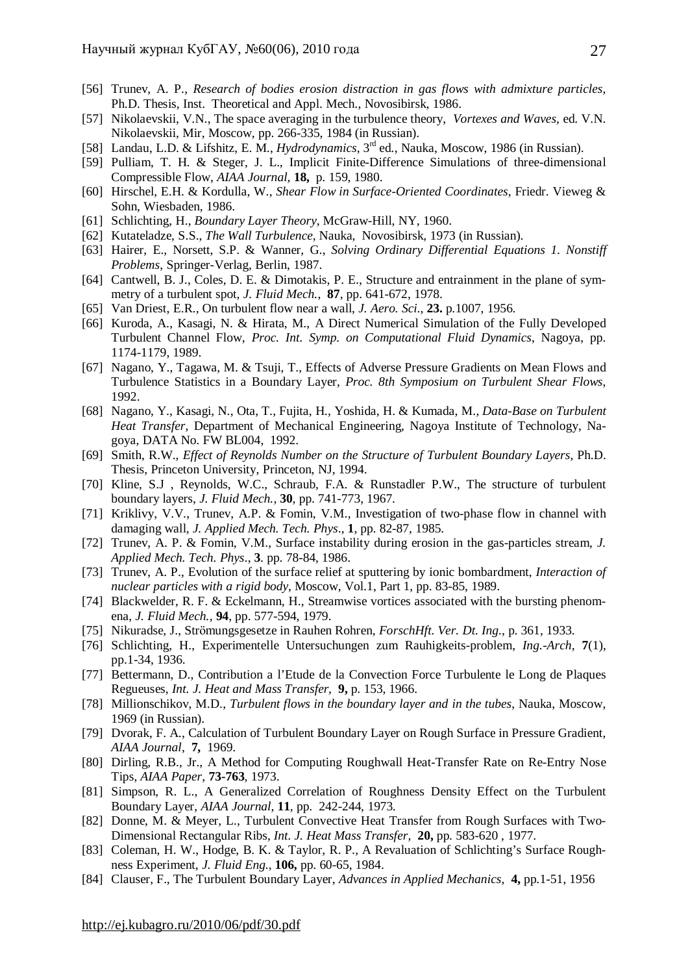- [56] Trunev, A. P., *Research of bodies erosion distraction in gas flows with admixture particles*, Ph.D. Thesis, Inst. Theoretical and Appl. Mech., Novosibirsk, 1986.
- [57] Nikolaevskii, V.N., The space averaging in the turbulence theory, *Vortexes and Waves,* ed. V.N. Nikolaevskii, Mir, Moscow, pp. 266-335, 1984 (in Russian).
- [58] Landau, L.D. & Lifshitz, E. M., *Hydrodynamics*, 3rd ed., Nauka, Moscow, 1986 (in Russian).
- [59] Pulliam, T. H. & Steger, J. L., Implicit Finite-Difference Simulations of three-dimensional Compressible Flow, *AIAA Journal*, **18,** p. 159, 1980.
- [60] Hirschel, E.H. & Kordulla, W., *Shear Flow in Surface-Oriented Coordinates*, Friedr. Vieweg & Sohn, Wiesbaden, 1986.
- [61] Schlichting, H., *Boundary Layer Theory*, McGraw-Hill, NY, 1960.
- [62] Kutateladze, S.S., *The Wall Turbulence*, Nauka, Novosibirsk, 1973 (in Russian).
- [63] Hairer, E., Norsett, S.P. & Wanner, G., *Solving Ordinary Differential Equations 1. Nonstiff Problems*, Springer-Verlag, Berlin, 1987.
- [64] Cantwell, B. J., Coles, D. E. & Dimotakis, P. E., Structure and entrainment in the plane of symmetry of a turbulent spot, *J. Fluid Mech.*, **87**, pp. 641-672, 1978.
- [65] Van Driest, E.R., On turbulent flow near a wall, *J. Aero. Sci*., **23.** p.1007, 1956.
- [66] Kuroda, A., Kasagi, N. & Hirata, M., A Direct Numerical Simulation of the Fully Developed Turbulent Channel Flow, *Proc. Int. Symp. on Computational Fluid Dynamics*, Nagoya, pp. 1174-1179, 1989.
- [67] Nagano, Y., Tagawa, M. & Tsuji, T., Effects of Adverse Pressure Gradients on Mean Flows and Turbulence Statistics in a Boundary Layer, *Proc. 8th Symposium on Turbulent Shear Flows*, 1992.
- [68] Nagano, Y., Kasagi, N., Ota, T., Fujita, H., Yoshida, H. & Kumada, M., *Data-Base on Turbulent Heat Transfer*, Department of Mechanical Engineering, Nagoya Institute of Technology, Nagoya, DATA No. FW BL004, 1992.
- [69] Smith, R.W., *Effect of Reynolds Number on the Structure of Turbulent Boundary Layers*, Ph.D. Thesis, Princeton University, Princeton, NJ, 1994.
- [70] Kline, S.J , Reynolds, W.C., Schraub, F.A. & Runstadler P.W., The structure of turbulent boundary layers, *J. Fluid Mech.,* **30**, pp. 741-773, 1967.
- [71] Kriklivy, V.V., Trunev, A.P. & Fomin, V.M., Investigation of two-phase flow in channel with damaging wall*, J. Applied Mech. Tech. Phys*., **1**, pp. 82-87, 1985.
- [72] Trunev, A. P. & Fomin, V.M., Surface instability during erosion in the gas-particles stream, *J. Applied Mech. Tech. Phys*., **3**. pp. 78-84, 1986.
- [73] Trunev, A. P., Evolution of the surface relief at sputtering by ionic bombardment, *Interaction of nuclear particles with a rigid body*, Moscow, Vol.1, Part 1, pp. 83-85, 1989.
- [74] Blackwelder, R. F. & Eckelmann, H., Streamwise vortices associated with the bursting phenomena, *J. Fluid Mech.,* **94**, pp. 577-594, 1979.
- [75] Nikuradse, J., Strömungsgesetze in Rauhen Rohren, *ForschHft. Ver. Dt. Ing.*, p. 361, 1933.
- [76] Schlichting, H., Experimentelle Untersuchungen zum Rauhigkeits-problem, *Ing.-Arch,* **7**(1), pp.1-34, 1936.
- [77] Bettermann, D., Contribution a l'Etude de la Convection Force Turbulente le Long de Plaques Regueuses, *Int. J. Heat and Mass Transfer*, **9,** p. 153, 1966.
- [78] Millionschikov, M.D., *Turbulent flows in the boundary layer and in the tubes*, Nauka, Moscow, 1969 (in Russian).
- [79] Dvorak, F. A., Calculation of Turbulent Boundary Layer on Rough Surface in Pressure Gradient, *AIAA Journal*, **7,** 1969.
- [80] Dirling, R.B., Jr., A Method for Computing Roughwall Heat-Transfer Rate on Re-Entry Nose Tips, *AIAA Paper*, **73-763**, 1973.
- [81] Simpson, R. L., A Generalized Correlation of Roughness Density Effect on the Turbulent Boundary Layer, *AIAA Journal,* **11**, pp. 242-244, 1973.
- [82] Donne, M. & Meyer, L., Turbulent Convective Heat Transfer from Rough Surfaces with Two-Dimensional Rectangular Ribs, *Int. J. Heat Mass Transfer,* **20,** pp. 583-620 , 1977.
- [83] Coleman, H. W., Hodge, B. K. & Taylor, R. P., A Revaluation of Schlichting's Surface Roughness Experiment, *J. Fluid Eng*., **106,** pp. 60-65, 1984.
- [84] Clauser, F., The Turbulent Boundary Layer, *Advances in Applied Mechanics*, **4,** pp.1-51, 1956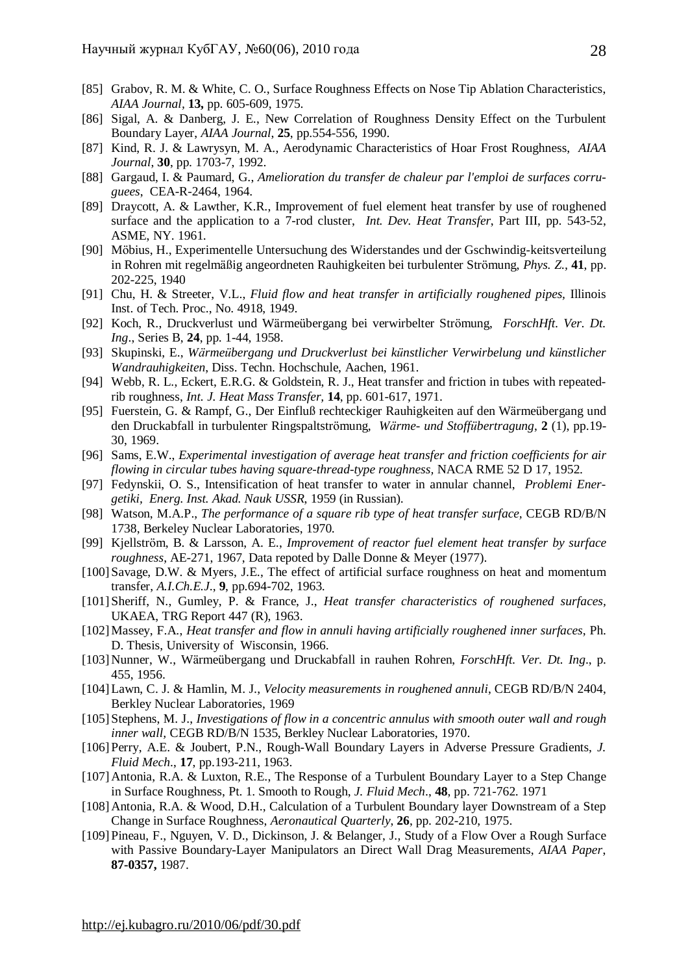- [85] Grabov, R. M. & White, C. O., Surface Roughness Effects on Nose Tip Ablation Characteristics, *AIAA Journal,* **13,** pp. 605-609, 1975.
- [86] Sigal, A. & Danberg, J. E., New Correlation of Roughness Density Effect on the Turbulent Boundary Layer, *AIAA Journal*, **25**, pp.554-556, 1990.
- [87] Kind, R. J. & Lawrysyn, M. A., Aerodynamic Characteristics of Hoar Frost Roughness, *AIAA Journal*, **30**, pp. 1703-7, 1992.
- [88] Gargaud, I. & Paumard, G., *Amelioration du transfer de chaleur par l'emploi de surfaces corruguees*, CEA-R-2464, 1964.
- [89] Draycott, A. & Lawther, K.R., Improvement of fuel element heat transfer by use of roughened surface and the application to a 7-rod cluster, *Int. Dev. Heat Transfer*, Part III, pp. 543-52, ASME, NY. 1961.
- [90] Möbius, H., Experimentelle Untersuchung des Widerstandes und der Gschwindig-keitsverteilung in Rohren mit regelmäßig angeordneten Rauhigkeiten bei turbulenter Strömung, *Phys. Z.,* **41**, pp. 202-225, 1940
- [91] Chu, H. & Streeter, V.L., *Fluid flow and heat transfer in artificially roughened pipes,* Illinois Inst. of Tech. Proc., No. 4918, 1949.
- [92] Koch, R., Druckverlust und Wärmeübergang bei verwirbelter Strömung, *ForschHft. Ver. Dt. Ing*., Series B, **24**, pp. 1-44, 1958.
- [93] Skupinski, E., *Wärmeübergang und Druckverlust bei künstlicher Verwirbelung und künstlicher Wandrauhigkeiten*, Diss. Techn. Hochschule, Aachen, 1961.
- [94] Webb, R. L., Eckert, E.R.G. & Goldstein, R. J., Heat transfer and friction in tubes with repeatedrib roughness, *Int. J. Heat Mass Transfer,* **14**, pp. 601-617, 1971.
- [95] Fuerstein, G. & Rampf, G., Der Einfluß rechteckiger Rauhigkeiten auf den Wärmeübergang und den Druckabfall in turbulenter Ringspaltströmung, *Wärme- und Stoffübertragung*, **2** (1), pp.19- 30, 1969.
- [96] Sams, E.W., *Experimental investigation of average heat transfer and friction coefficients for air flowing in circular tubes having square-thread-type roughness,* NACA RME 52 D 17, 1952.
- [97] Fedynskii, O. S., Intensification of heat transfer to water in annular channel, *Problemi Energetiki, Energ. Inst. Akad. Nauk USSR*, 1959 (in Russian).
- [98] Watson, M.A.P., *The performance of a square rib type of heat transfer surface,* CEGB RD/B/N 1738, Berkeley Nuclear Laboratories, 1970.
- [99] Kjellström, B. & Larsson, A. E., *Improvement of reactor fuel element heat transfer by surface roughness*, AE-271, 1967, Data repoted by Dalle Donne & Meyer (1977).
- [100] Savage, D.W. & Myers, J.E., The effect of artificial surface roughness on heat and momentum transfer, *A.I.Ch.E.J*., **9**, pp.694-702, 1963.
- [101] Sheriff, N., Gumley, P. & France, J., *Heat transfer characteristics of roughened surfaces,* UKAEA, TRG Report 447 (R), 1963.
- [102]Massey, F.A., *Heat transfer and flow in annuli having artificially roughened inner surfaces*, Ph. D. Thesis, University of Wisconsin, 1966.
- [103] Nunner, W., Wärmeübergang und Druckabfall in rauhen Rohren, *ForschHft. Ver. Dt. Ing*., p. 455, 1956.
- [104]Lawn, C. J. & Hamlin, M. J., *Velocity measurements in roughened annuli*, CEGB RD/B/N 2404, Berkley Nuclear Laboratories, 1969
- [105] Stephens, M. J., *Investigations of flow in a concentric annulus with smooth outer wall and rough inner wall,* CEGB RD/B/N 1535, Berkley Nuclear Laboratories, 1970.
- [106] Perry, A.E. & Joubert, P.N., Rough-Wall Boundary Layers in Adverse Pressure Gradients, *J. Fluid Mech*., **17**, pp.193-211, 1963.
- [107] Antonia, R.A. & Luxton, R.E., The Response of a Turbulent Boundary Layer to a Step Change in Surface Roughness, Pt. 1. Smooth to Rough, *J. Fluid Mech*., **48**, pp. 721-762. 1971
- [108] Antonia, R.A. & Wood, D.H., Calculation of a Turbulent Boundary layer Downstream of a Step Change in Surface Roughness, *Aeronautical Quarterly*, **26**, pp. 202-210, 1975.
- [109] Pineau, F., Nguyen, V. D., Dickinson, J. & Belanger, J., Study of a Flow Over a Rough Surface with Passive Boundary-Layer Manipulators an Direct Wall Drag Measurements, *AIAA Paper*, **87-0357,** 1987.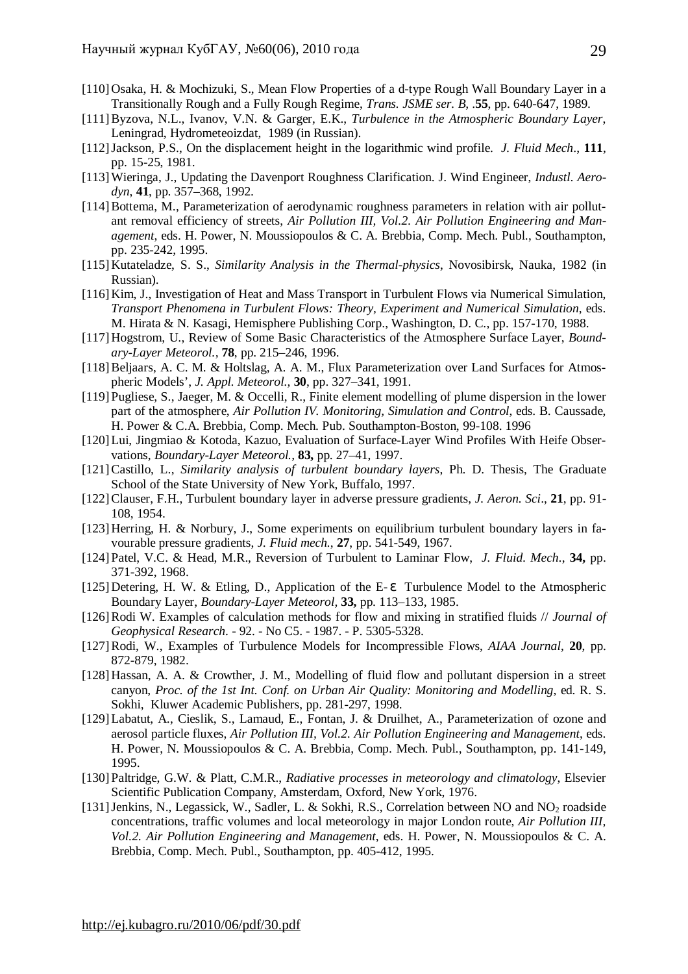- [110] Osaka, H. & Mochizuki, S., Mean Flow Properties of a d-type Rough Wall Boundary Layer in a Transitionally Rough and a Fully Rough Regime, *Trans. JSME ser. B,* .**55**, pp. 640-647, 1989.
- [111]Byzova, N.L., Ivanov, V.N. & Garger, E.K., *Turbulence in the Atmospheric Boundary Layer*, Leningrad, Hydrometeoizdat, 1989 (in Russian).
- [112]Jackson, P.S., On the displacement height in the logarithmic wind profile. *J. Fluid Mech*., **111**, pp. 15-25, 1981.
- [113]Wieringa, J., Updating the Davenport Roughness Clarification. J. Wind Engineer, *Industl. Aerodyn*, **41**, pp. 357–368, 1992.
- [114] Bottema, M., Parameterization of aerodynamic roughness parameters in relation with air pollutant removal efficiency of streets, *Air Pollution III, Vol.2. Air Pollution Engineering and Management*, eds. H. Power, N. Moussiopoulos & C. A. Brebbia, Comp. Mech. Publ., Southampton, pp. 235-242, 1995.
- [115] Kutateladze, S. S., *Similarity Analysis in the Thermal-physics*, Novosibirsk, Nauka, 1982 (in Russian).
- [116] Kim, J., Investigation of Heat and Mass Transport in Turbulent Flows via Numerical Simulation, *Transport Phenomena in Turbulent Flows: Theory, Experiment and Numerical Simulation*, eds. M. Hirata & N. Kasagi, Hemisphere Publishing Corp., Washington, D. C., pp. 157-170, 1988.
- [117] Hogstrom, U., Review of Some Basic Characteristics of the Atmosphere Surface Layer, *Boundary-Layer Meteorol.,* **78**, pp. 215–246, 1996.
- [118]Beljaars, A. C. M. & Holtslag, A. A. M., Flux Parameterization over Land Surfaces for Atmospheric Models', *J. Appl. Meteorol.,* **30**, pp. 327–341, 1991.
- [119] Pugliese, S., Jaeger, M. & Occelli, R., Finite element modelling of plume dispersion in the lower part of the atmosphere, *Air Pollution IV. Monitoring, Simulation and Control*, eds. B. Caussade, H. Power & C.A. Brebbia, Comp. Mech. Pub. Southampton-Boston, 99-108. 1996
- [120]Lui, Jingmiao & Kotoda, Kazuo, Evaluation of Surface-Layer Wind Profiles With Heife Observations, *Boundary-Layer Meteorol.,* **83,** pp. 27–41, 1997.
- [121]Castillo, L., *Similarity analysis of turbulent boundary layers*, Ph. D. Thesis, The Graduate School of the State University of New York, Buffalo, 1997.
- [122]Clauser, F.H., Turbulent boundary layer in adverse pressure gradients, *J. Aeron. Sci*., **21**, pp. 91- 108, 1954.
- [123] Herring, H. & Norbury, J., Some experiments on equilibrium turbulent boundary layers in favourable pressure gradients, *J. Fluid mech.*, **27**, pp. 541-549, 1967.
- [124] Patel, V.C. & Head, M.R., Reversion of Turbulent to Laminar Flow, *J. Fluid. Mech*., **34,** pp. 371-392, 1968.
- [125] Detering, H. W. & Etling, D., Application of the E- *e* Turbulence Model to the Atmospheric Boundary Layer, *Boundary-Layer Meteorol,* **33,** pp. 113–133, 1985.
- [126]Rodi W. Examples of calculation methods for flow and mixing in stratified fluids // *Journal of Geophysical Research*. - 92. - No C5. - 1987. - P. 5305-5328.
- [127]Rodi, W., Examples of Turbulence Models for Incompressible Flows, *AIAA Journal*, **20**, pp. 872-879, 1982.
- [128] Hassan, A. A. & Crowther, J. M., Modelling of fluid flow and pollutant dispersion in a street canyon, *Proc. of the 1st Int. Conf. on Urban Air Quality: Monitoring and Modelling*, ed. R. S. Sokhi, Kluwer Academic Publishers, pp. 281-297, 1998.
- [129]Labatut, A., Cieslik, S., Lamaud, E., Fontan, J. & Druilhet, A., Parameterization of ozone and aerosol particle fluxes, *Air Pollution III, Vol.2. Air Pollution Engineering and Management*, eds. H. Power, N. Moussiopoulos & C. A. Brebbia, Comp. Mech. Publ., Southampton, pp. 141-149, 1995.
- [130] Paltridge, G.W. & Platt, C.M.R., *Radiative processes in meteorology and climatology*, Elsevier Scientific Publication Company, Amsterdam, Oxford, New York, 1976.
- [131] Jenkins, N., Legassick, W., Sadler, L. & Sokhi, R.S., Correlation between NO and NO<sub>2</sub> roadside concentrations, traffic volumes and local meteorology in major London route, *Air Pollution III, Vol.2. Air Pollution Engineering and Management*, eds. H. Power, N. Moussiopoulos & C. A. Brebbia, Comp. Mech. Publ., Southampton, pp. 405-412, 1995.